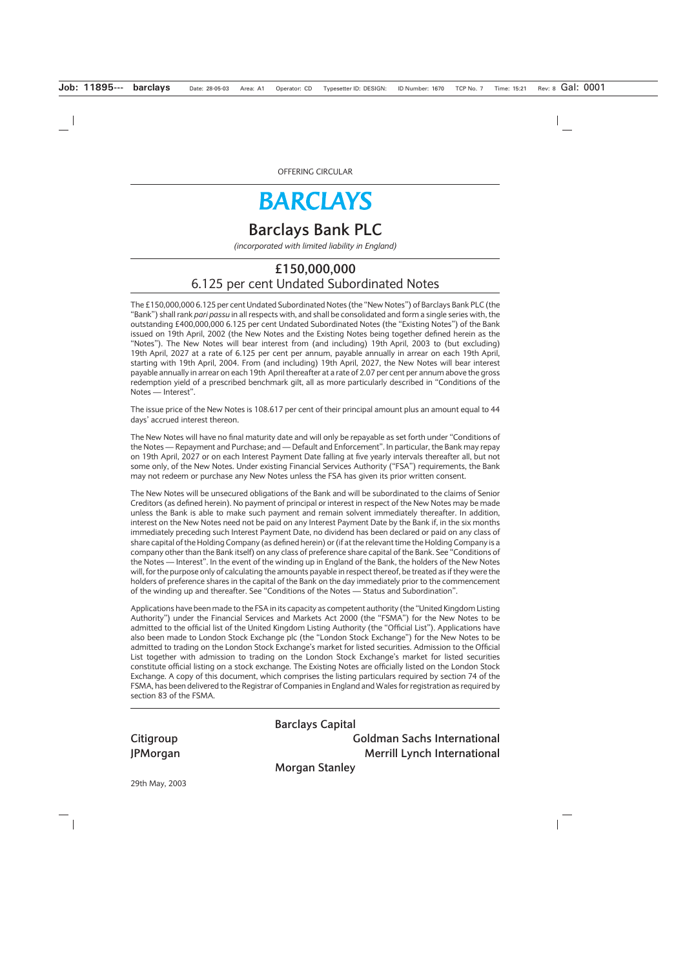OFFERING CIRCULAR

# **BARCLAYS**

# **Barclays Bank PLC**

*(incorporated with limited liability in England)*

# **£150,000,000** 6.125 per cent Undated Subordinated Notes

The £150,000,000 6.125 per cent Undated Subordinated Notes (the "New Notes") of Barclays Bank PLC (the "Bank") shall rank *pari passu* in all respects with, and shall be consolidated and form a single series with, the outstanding £400,000,000 6.125 per cent Undated Subordinated Notes (the "Existing Notes") of the Bank issued on 19th April, 2002 (the New Notes and the Existing Notes being together defined herein as the "Notes"). The New Notes will bear interest from (and including) 19th April, 2003 to (but excluding) 19th April, 2027 at a rate of 6.125 per cent per annum, payable annually in arrear on each 19th April, starting with 19th April, 2004. From (and including) 19th April, 2027, the New Notes will bear interest payable annually in arrear on each 19th April thereafter at a rate of 2.07 per cent per annum above the gross redemption yield of a prescribed benchmark gilt, all as more particularly described in "Conditions of the Notes — Interest".

The issue price of the New Notes is 108.617 per cent of their principal amount plus an amount equal to 44 days' accrued interest thereon.

The New Notes will have no final maturity date and will only be repayable as set forth under "Conditions of the Notes — Repayment and Purchase; and — Default and Enforcement". In particular, the Bank may repay on 19th April, 2027 or on each Interest Payment Date falling at five yearly intervals thereafter all, but not some only, of the New Notes. Under existing Financial Services Authority ("FSA") requirements, the Bank may not redeem or purchase any New Notes unless the FSA has given its prior written consent.

The New Notes will be unsecured obligations of the Bank and will be subordinated to the claims of Senior Creditors (as defined herein). No payment of principal or interest in respect of the New Notes may be made unless the Bank is able to make such payment and remain solvent immediately thereafter. In addition, interest on the New Notes need not be paid on any Interest Payment Date by the Bank if, in the six months immediately preceding such Interest Payment Date, no dividend has been declared or paid on any class of share capital of the Holding Company (as defined herein) or (if at the relevant time the Holding Company is a company other than the Bank itself) on any class of preference share capital of the Bank. See "Conditions of the Notes — Interest". In the event of the winding up in England of the Bank, the holders of the New Notes will, for the purpose only of calculating the amounts payable in respect thereof, be treated as if they were the holders of preference shares in the capital of the Bank on the day immediately prior to the commencement of the winding up and thereafter. See "Conditions of the Notes — Status and Subordination".

Applications have been made to the FSA in its capacity as competent authority (the "United Kingdom Listing Authority") under the Financial Services and Markets Act 2000 (the "FSMA") for the New Notes to be admitted to the official list of the United Kingdom Listing Authority (the "Official List"). Applications have also been made to London Stock Exchange plc (the "London Stock Exchange") for the New Notes to be admitted to trading on the London Stock Exchange's market for listed securities. Admission to the Official List together with admission to trading on the London Stock Exchange's market for listed securities constitute official listing on a stock exchange. The Existing Notes are officially listed on the London Stock Exchange. A copy of this document, which comprises the listing particulars required by section 74 of the FSMA, has been delivered to the Registrar of Companies in England and Wales for registration as required by section 83 of the FSMA.

**Barclays Capital Citigroup Goldman Sachs International JPMorgan** Merrill Lynch International

**Morgan Stanley**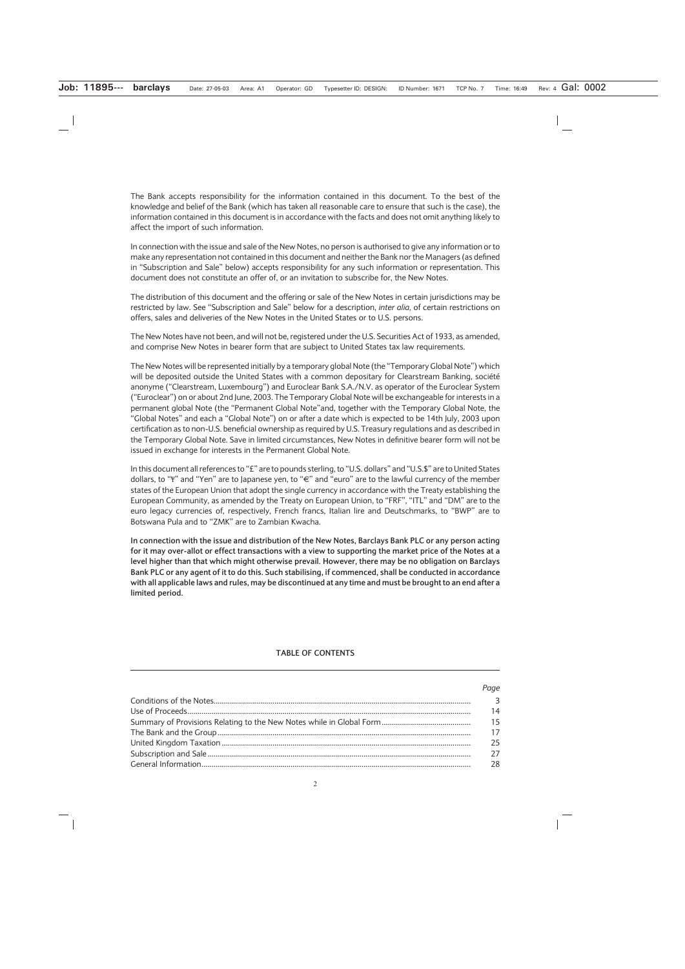The Bank accepts responsibility for the information contained in this document. To the best of the knowledge and belief of the Bank (which has taken all reasonable care to ensure that such is the case), the information contained in this document is in accordance with the facts and does not omit anything likely to affect the import of such information.

In connection with the issue and sale of the New Notes, no person is authorised to give any information or to make any representation not contained in this document and neither the Bank nor the Managers (as defined in "Subscription and Sale" below) accepts responsibility for any such information or representation. This document does not constitute an offer of, or an invitation to subscribe for, the New Notes.

The distribution of this document and the offering or sale of the New Notes in certain jurisdictions may be restricted by law. See "Subscription and Sale" below for a description, *inter alia,* of certain restrictions on offers, sales and deliveries of the New Notes in the United States or to U.S. persons.

The New Notes have not been, and will not be, registered under the U.S. Securities Act of 1933, as amended, and comprise New Notes in bearer form that are subject to United States tax law requirements.

The New Notes will be represented initially by a temporary global Note (the "Temporary Global Note") which will be deposited outside the United States with a common depositary for Clearstream Banking, société anonyme ("Clearstream, Luxembourg") and Euroclear Bank S.A./N.V. as operator of the Euroclear System ("Euroclear") on or about 2nd June, 2003. The Temporary Global Note will be exchangeable for interests in a permanent global Note (the "Permanent Global Note"and, together with the Temporary Global Note, the "Global Notes" and each a "Global Note") on or after a date which is expected to be 14th July, 2003 upon certification as to non-U.S. beneficial ownership as required by U.S. Treasury regulations and as described in the Temporary Global Note. Save in limited circumstances, New Notes in definitive bearer form will not be issued in exchange for interests in the Permanent Global Note.

In this document all references to "£" are to pounds sterling, to "U.S. dollars" and "U.S.\$" are to United States dollars, to "\" and "Yen" are to Japanese yen, to "€" and "euro" are to the lawful currency of the member states of the European Union that adopt the single currency in accordance with the Treaty establishing the European Community, as amended by the Treaty on European Union, to "FRF", "ITL" and "DM" are to the euro legacy currencies of, respectively, French francs, Italian lire and Deutschmarks, to "BWP" are to Botswana Pula and to "ZMK" are to Zambian Kwacha.

**In connection with the issue and distribution of the New Notes, Barclays Bank PLC or any person acting for it may over-allot or effect transactions with a view to supporting the market price of the Notes at a level higher than that which might otherwise prevail. However, there may be no obligation on Barclays Bank PLC or any agent of it to do this. Such stabilising, if commenced, shall be conducted in accordance with all applicable laws and rules, may be discontinued at any time and must be brought to an end after a limited period.**

#### **TABLE OF CONTENTS**

| Page           |
|----------------|
| $\overline{3}$ |
| 14             |
| 15             |
| 17             |
| 25             |
| 27             |
| 28             |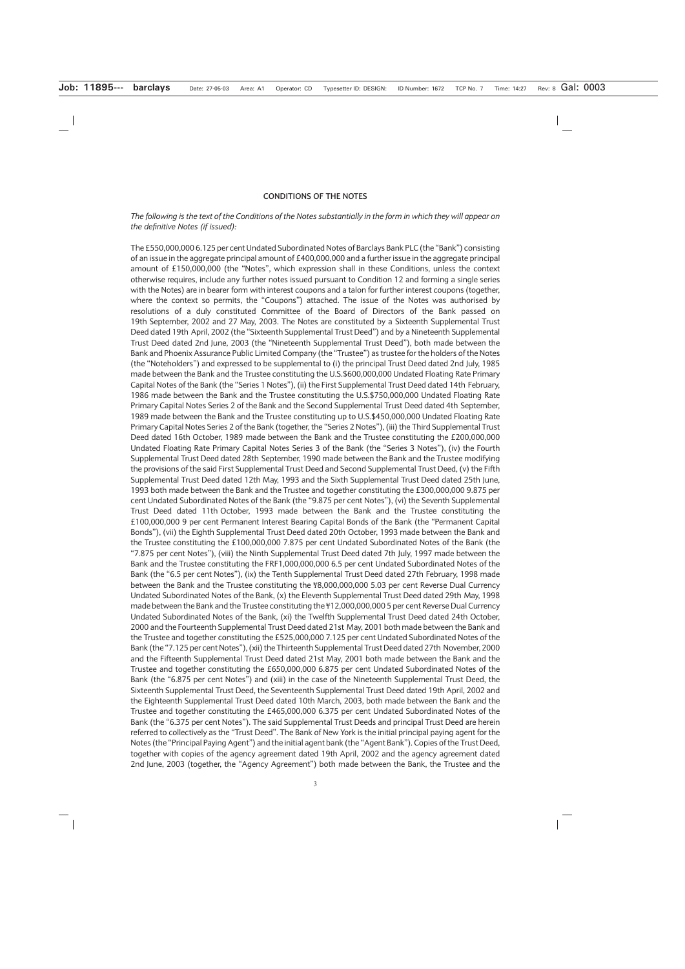#### **CONDITIONS OF THE NOTES**

#### *The following is the text of the Conditions of the Notes substantially in the form in which they will appear on the definitive Notes (if issued):*

The £550,000,000 6.125 per cent Undated Subordinated Notes of Barclays Bank PLC (the "Bank") consisting of an issue in the aggregate principal amount of £400,000,000 and a further issue in the aggregate principal amount of £150,000,000 (the "Notes", which expression shall in these Conditions, unless the context otherwise requires, include any further notes issued pursuant to Condition 12 and forming a single series with the Notes) are in bearer form with interest coupons and a talon for further interest coupons (together, where the context so permits, the "Coupons") attached. The issue of the Notes was authorised by resolutions of a duly constituted Committee of the Board of Directors of the Bank passed on 19th September, 2002 and 27 May, 2003. The Notes are constituted by a Sixteenth Supplemental Trust Deed dated 19th April, 2002 (the "Sixteenth Supplemental Trust Deed") and by a Nineteenth Supplemental Trust Deed dated 2nd June, 2003 (the "Nineteenth Supplemental Trust Deed"), both made between the Bank and Phoenix Assurance Public Limited Company (the "Trustee") as trustee for the holders of the Notes (the "Noteholders") and expressed to be supplemental to (i) the principal Trust Deed dated 2nd July, 1985 made between the Bank and the Trustee constituting the U.S.\$600,000,000 Undated Floating Rate Primary Capital Notes of the Bank (the "Series 1 Notes"), (ii) the First Supplemental Trust Deed dated 14th February, 1986 made between the Bank and the Trustee constituting the U.S.\$750,000,000 Undated Floating Rate Primary Capital Notes Series 2 of the Bank and the Second Supplemental Trust Deed dated 4th September, 1989 made between the Bank and the Trustee constituting up to U.S.\$450,000,000 Undated Floating Rate Primary Capital Notes Series 2 of the Bank (together, the "Series 2 Notes"), (iii) the Third Supplemental Trust Deed dated 16th October, 1989 made between the Bank and the Trustee constituting the £200,000,000 Undated Floating Rate Primary Capital Notes Series 3 of the Bank (the "Series 3 Notes"), (iv) the Fourth Supplemental Trust Deed dated 28th September, 1990 made between the Bank and the Trustee modifying the provisions of the said First Supplemental Trust Deed and Second Supplemental Trust Deed, (v) the Fifth Supplemental Trust Deed dated 12th May, 1993 and the Sixth Supplemental Trust Deed dated 25th June, 1993 both made between the Bank and the Trustee and together constituting the £300,000,000 9.875 per cent Undated Subordinated Notes of the Bank (the "9.875 per cent Notes"), (vi) the Seventh Supplemental Trust Deed dated 11th October, 1993 made between the Bank and the Trustee constituting the £100,000,000 9 per cent Permanent Interest Bearing Capital Bonds of the Bank (the "Permanent Capital Bonds"), (vii) the Eighth Supplemental Trust Deed dated 20th October, 1993 made between the Bank and the Trustee constituting the £100,000,000 7.875 per cent Undated Subordinated Notes of the Bank (the "7.875 per cent Notes"), (viii) the Ninth Supplemental Trust Deed dated 7th July, 1997 made between the Bank and the Trustee constituting the FRF1,000,000,000 6.5 per cent Undated Subordinated Notes of the Bank (the "6.5 per cent Notes"), (ix) the Tenth Supplemental Trust Deed dated 27th February, 1998 made between the Bank and the Trustee constituting the ¥8,000,000,000 5.03 per cent Reverse Dual Currency Undated Subordinated Notes of the Bank, (x) the Eleventh Supplemental Trust Deed dated 29th May, 1998 made between the Bank and the Trustee constituting the ¥12,000,000,000 5 per cent Reverse Dual Currency Undated Subordinated Notes of the Bank, (xi) the Twelfth Supplemental Trust Deed dated 24th October, 2000 and the Fourteenth Supplemental Trust Deed dated 21st May, 2001 both made between the Bank and the Trustee and together constituting the £525,000,000 7.125 per cent Undated Subordinated Notes of the Bank (the "7.125 per cent Notes"), (xii) the Thirteenth Supplemental Trust Deed dated 27th November, 2000 and the Fifteenth Supplemental Trust Deed dated 21st May, 2001 both made between the Bank and the Trustee and together constituting the £650,000,000 6.875 per cent Undated Subordinated Notes of the Bank (the "6.875 per cent Notes") and (xiii) in the case of the Nineteenth Supplemental Trust Deed, the Sixteenth Supplemental Trust Deed, the Seventeenth Supplemental Trust Deed dated 19th April, 2002 and the Eighteenth Supplemental Trust Deed dated 10th March, 2003, both made between the Bank and the Trustee and together constituting the £465,000,000 6.375 per cent Undated Subordinated Notes of the Bank (the "6.375 per cent Notes"). The said Supplemental Trust Deeds and principal Trust Deed are herein referred to collectively as the "Trust Deed". The Bank of New York is the initial principal paying agent for the Notes (the "Principal Paying Agent") and the initial agent bank (the "Agent Bank"). Copies of the Trust Deed, together with copies of the agency agreement dated 19th April, 2002 and the agency agreement dated 2nd June, 2003 (together, the "Agency Agreement") both made between the Bank, the Trustee and the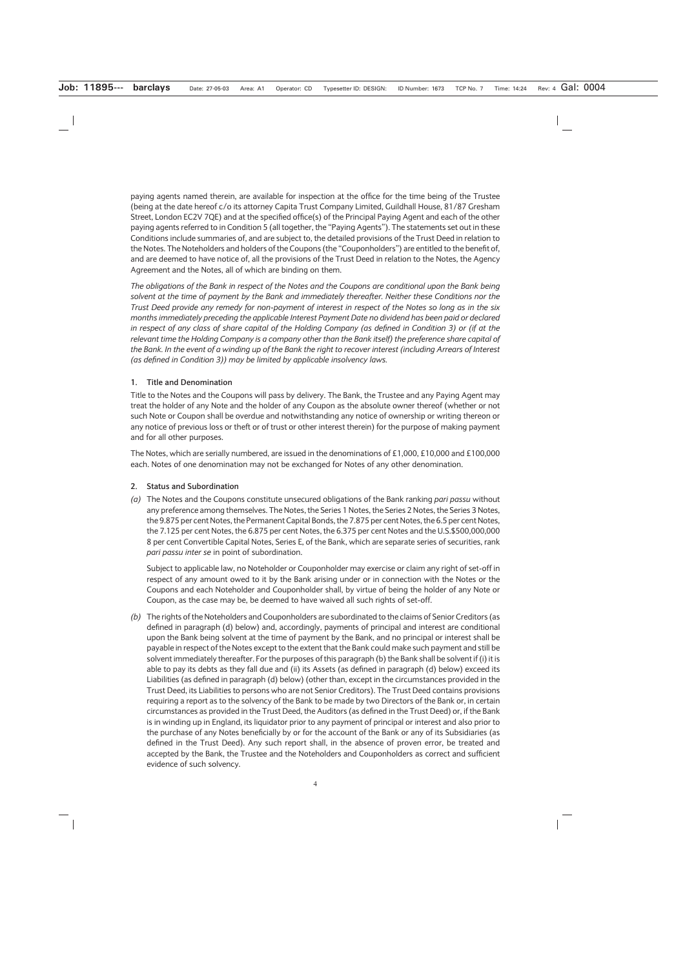paying agents named therein, are available for inspection at the office for the time being of the Trustee (being at the date hereof c/o its attorney Capita Trust Company Limited, Guildhall House, 81/87 Gresham Street, London EC2V 7QE) and at the specified office(s) of the Principal Paying Agent and each of the other paying agents referred to in Condition 5 (all together, the "Paying Agents"). The statements set out in these Conditions include summaries of, and are subject to, the detailed provisions of the Trust Deed in relation to the Notes. The Noteholders and holders of the Coupons (the "Couponholders") are entitled to the benefit of, and are deemed to have notice of, all the provisions of the Trust Deed in relation to the Notes, the Agency Agreement and the Notes, all of which are binding on them.

*The obligations of the Bank in respect of the Notes and the Coupons are conditional upon the Bank being solvent at the time of payment by the Bank and immediately thereafter. Neither these Conditions nor the Trust Deed provide any remedy for non-payment of interest in respect of the Notes so long as in the six months immediately preceding the applicable Interest Payment Date no dividend has been paid or declared in respect of any class of share capital of the Holding Company (as defined in Condition 3) or (if at the relevant time the Holding Company is a company other than the Bank itself) the preference share capital of the Bank. In the event of a winding up of the Bank the right to recover interest (including Arrears of Interest (as defined in Condition 3)) may be limited by applicable insolvency laws.*

# **1. Title and Denomination**

Title to the Notes and the Coupons will pass by delivery. The Bank, the Trustee and any Paying Agent may treat the holder of any Note and the holder of any Coupon as the absolute owner thereof (whether or not such Note or Coupon shall be overdue and notwithstanding any notice of ownership or writing thereon or any notice of previous loss or theft or of trust or other interest therein) for the purpose of making payment and for all other purposes.

The Notes, which are serially numbered, are issued in the denominations of £1,000, £10,000 and £100,000 each. Notes of one denomination may not be exchanged for Notes of any other denomination.

# **2. Status and Subordination**

*(a)* The Notes and the Coupons constitute unsecured obligations of the Bank ranking *pari passu* without any preference among themselves. The Notes, the Series 1 Notes, the Series 2 Notes, the Series 3 Notes, the 9.875 per cent Notes, the Permanent Capital Bonds, the 7.875 per cent Notes, the 6.5 per cent Notes, the 7.125 per cent Notes, the 6.875 per cent Notes, the 6.375 per cent Notes and the U.S.\$500,000,000 8 per cent Convertible Capital Notes, Series E, of the Bank, which are separate series of securities, rank *pari passu inter se* in point of subordination.

Subject to applicable law, no Noteholder or Couponholder may exercise or claim any right of set-off in respect of any amount owed to it by the Bank arising under or in connection with the Notes or the Coupons and each Noteholder and Couponholder shall, by virtue of being the holder of any Note or Coupon, as the case may be, be deemed to have waived all such rights of set-off.

*(b)* The rights of the Noteholders and Couponholders are subordinated to the claims of Senior Creditors (as defined in paragraph (d) below) and, accordingly, payments of principal and interest are conditional upon the Bank being solvent at the time of payment by the Bank, and no principal or interest shall be payable in respect of the Notes except to the extent that the Bank could make such payment and still be solvent immediately thereafter. For the purposes of this paragraph (b) the Bank shall be solvent if (i) it is able to pay its debts as they fall due and (ii) its Assets (as defined in paragraph (d) below) exceed its Liabilities (as defined in paragraph (d) below) (other than, except in the circumstances provided in the Trust Deed, its Liabilities to persons who are not Senior Creditors). The Trust Deed contains provisions requiring a report as to the solvency of the Bank to be made by two Directors of the Bank or, in certain circumstances as provided in the Trust Deed, the Auditors (as defined in the Trust Deed) or, if the Bank is in winding up in England, its liquidator prior to any payment of principal or interest and also prior to the purchase of any Notes beneficially by or for the account of the Bank or any of its Subsidiaries (as defined in the Trust Deed). Any such report shall, in the absence of proven error, be treated and accepted by the Bank, the Trustee and the Noteholders and Couponholders as correct and sufficient evidence of such solvency.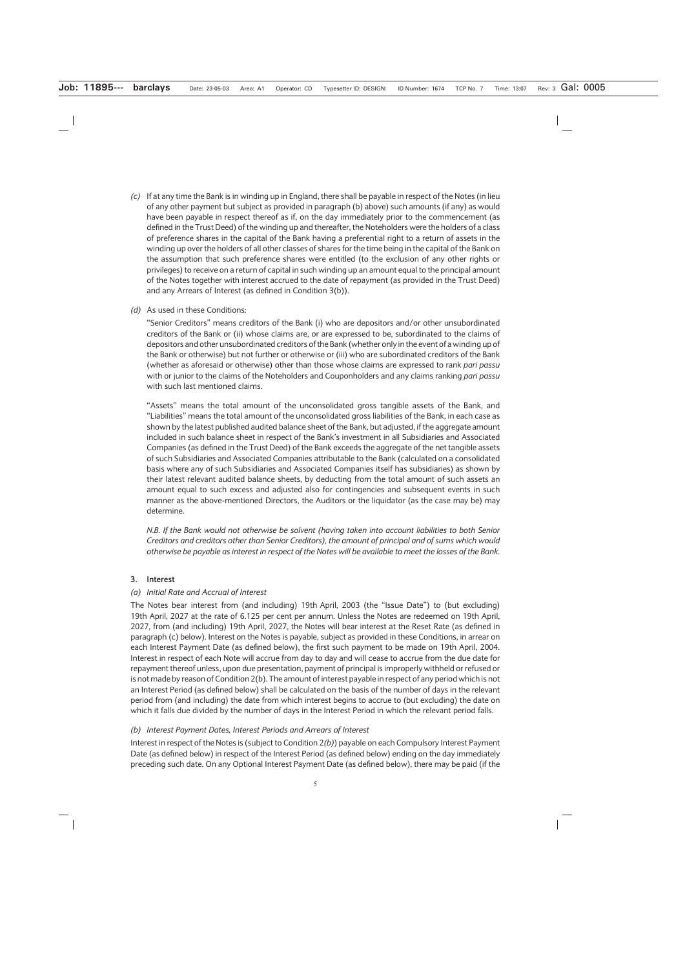*(c)* If at any time the Bank is in winding up in England, there shall be payable in respect of the Notes (in lieu of any other payment but subject as provided in paragraph (b) above) such amounts (if any) as would have been payable in respect thereof as if, on the day immediately prior to the commencement (as defined in the Trust Deed) of the winding up and thereafter, the Noteholders were the holders of a class of preference shares in the capital of the Bank having a preferential right to a return of assets in the winding up over the holders of all other classes of shares for the time being in the capital of the Bank on the assumption that such preference shares were entitled (to the exclusion of any other rights or privileges) to receive on a return of capital in such winding up an amount equal to the principal amount of the Notes together with interest accrued to the date of repayment (as provided in the Trust Deed) and any Arrears of Interest (as defined in Condition 3(b)).

#### *(d)* As used in these Conditions:

"Senior Creditors" means creditors of the Bank (i) who are depositors and/or other unsubordinated creditors of the Bank or (ii) whose claims are, or are expressed to be, subordinated to the claims of depositors and other unsubordinated creditors of the Bank (whether only in the event of a winding up of the Bank or otherwise) but not further or otherwise or (iii) who are subordinated creditors of the Bank (whether as aforesaid or otherwise) other than those whose claims are expressed to rank *pari passu* with or junior to the claims of the Noteholders and Couponholders and any claims ranking *pari passu* with such last mentioned claims.

"Assets" means the total amount of the unconsolidated gross tangible assets of the Bank, and "Liabilities" means the total amount of the unconsolidated gross liabilities of the Bank, in each case as shown by the latest published audited balance sheet of the Bank, but adjusted, if the aggregate amount included in such balance sheet in respect of the Bank's investment in all Subsidiaries and Associated Companies (as defined in the Trust Deed) of the Bank exceeds the aggregate of the net tangible assets of such Subsidiaries and Associated Companies attributable to the Bank (calculated on a consolidated basis where any of such Subsidiaries and Associated Companies itself has subsidiaries) as shown by their latest relevant audited balance sheets, by deducting from the total amount of such assets an amount equal to such excess and adjusted also for contingencies and subsequent events in such manner as the above-mentioned Directors, the Auditors or the liquidator (as the case may be) may determine.

*N.B. If the Bank would not otherwise be solvent (having taken into account liabilities to both Senior Creditors and creditors other than Senior Creditors), the amount of principal and of sums which would otherwise be payable as interest in respect of the Notes will be available to meet the losses of the Bank.*

#### **3. Interest**

#### *(a) Initial Rate and Accrual of Interest*

The Notes bear interest from (and including) 19th April, 2003 (the "Issue Date") to (but excluding) 19th April, 2027 at the rate of 6.125 per cent per annum. Unless the Notes are redeemed on 19th April, 2027, from (and including) 19th April, 2027, the Notes will bear interest at the Reset Rate (as defined in paragraph (c) below). Interest on the Notes is payable, subject as provided in these Conditions, in arrear on each Interest Payment Date (as defined below), the first such payment to be made on 19th April, 2004. Interest in respect of each Note will accrue from day to day and will cease to accrue from the due date for repayment thereof unless, upon due presentation, payment of principal is improperly withheld or refused or is not made by reason of Condition 2(b). The amount of interest payable in respect of any period which is not an Interest Period (as defined below) shall be calculated on the basis of the number of days in the relevant period from (and including) the date from which interest begins to accrue to (but excluding) the date on which it falls due divided by the number of days in the Interest Period in which the relevant period falls.

#### *(b) Interest Payment Dates, Interest Periods and Arrears of Interest*

Interest in respect of the Notes is (subject to Condition 2*(b)*) payable on each Compulsory Interest Payment Date (as defined below) in respect of the Interest Period (as defined below) ending on the day immediately preceding such date. On any Optional Interest Payment Date (as defined below), there may be paid (if the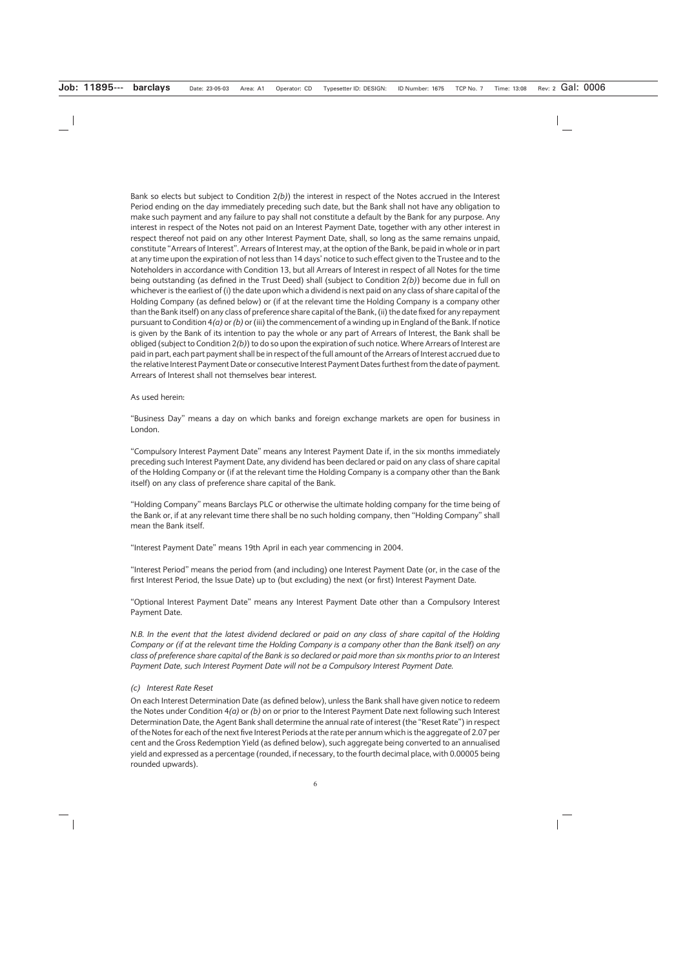Bank so elects but subject to Condition 2*(b)*) the interest in respect of the Notes accrued in the Interest Period ending on the day immediately preceding such date, but the Bank shall not have any obligation to make such payment and any failure to pay shall not constitute a default by the Bank for any purpose. Any interest in respect of the Notes not paid on an Interest Payment Date, together with any other interest in respect thereof not paid on any other Interest Payment Date, shall, so long as the same remains unpaid, constitute "Arrears of Interest". Arrears of Interest may, at the option of the Bank, be paid in whole or in part at any time upon the expiration of not less than 14 days' notice to such effect given to the Trustee and to the Noteholders in accordance with Condition 13, but all Arrears of Interest in respect of all Notes for the time being outstanding (as defined in the Trust Deed) shall (subject to Condition 2*(b)*) become due in full on whichever is the earliest of (i) the date upon which a dividend is next paid on any class of share capital of the Holding Company (as defined below) or (if at the relevant time the Holding Company is a company other than the Bank itself) on any class of preference share capital of the Bank, (ii) the date fixed for any repayment pursuant to Condition 4*(a)* or *(b)* or (iii) the commencement of a winding up in England of the Bank. If notice is given by the Bank of its intention to pay the whole or any part of Arrears of Interest, the Bank shall be obliged (subject to Condition 2*(b)*) to do so upon the expiration of such notice. Where Arrears of Interest are paid in part, each part payment shall be in respect of the full amount of the Arrears of Interest accrued due to the relative Interest Payment Date or consecutive Interest Payment Dates furthest from the date of payment. Arrears of Interest shall not themselves bear interest.

#### As used herein:

"Business Day" means a day on which banks and foreign exchange markets are open for business in London.

"Compulsory Interest Payment Date" means any Interest Payment Date if, in the six months immediately preceding such Interest Payment Date, any dividend has been declared or paid on any class of share capital of the Holding Company or (if at the relevant time the Holding Company is a company other than the Bank itself) on any class of preference share capital of the Bank.

"Holding Company" means Barclays PLC or otherwise the ultimate holding company for the time being of the Bank or, if at any relevant time there shall be no such holding company, then "Holding Company" shall mean the Bank itself.

"Interest Payment Date" means 19th April in each year commencing in 2004.

"Interest Period" means the period from (and including) one Interest Payment Date (or, in the case of the first Interest Period, the Issue Date) up to (but excluding) the next (or first) Interest Payment Date.

"Optional Interest Payment Date" means any Interest Payment Date other than a Compulsory Interest Payment Date.

*N.B. In the event that the latest dividend declared or paid on any class of share capital of the Holding Company or (if at the relevant time the Holding Company is a company other than the Bank itself) on any class of preference share capital of the Bank is so declared or paid more than six months prior to an Interest Payment Date, such Interest Payment Date will not be a Compulsory Interest Payment Date.*

#### *(c) Interest Rate Reset*

On each Interest Determination Date (as defined below), unless the Bank shall have given notice to redeem the Notes under Condition 4*(a)* or *(b)* on or prior to the Interest Payment Date next following such Interest Determination Date, the Agent Bank shall determine the annual rate of interest (the "Reset Rate") in respect of the Notes for each of the next five Interest Periods at the rate per annum which is the aggregate of 2.07 per cent and the Gross Redemption Yield (as defined below), such aggregate being converted to an annualised yield and expressed as a percentage (rounded, if necessary, to the fourth decimal place, with 0.00005 being rounded upwards).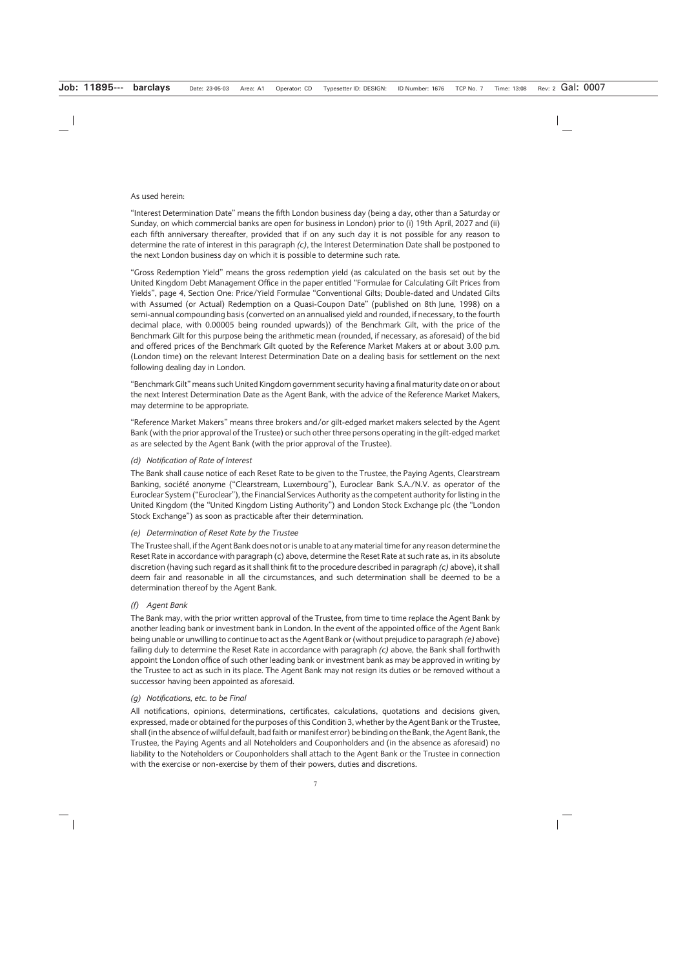### As used herein:

"Interest Determination Date" means the fifth London business day (being a day, other than a Saturday or Sunday, on which commercial banks are open for business in London) prior to (i) 19th April, 2027 and (ii) each fifth anniversary thereafter, provided that if on any such day it is not possible for any reason to determine the rate of interest in this paragraph *(c)*, the Interest Determination Date shall be postponed to the next London business day on which it is possible to determine such rate.

"Gross Redemption Yield" means the gross redemption yield (as calculated on the basis set out by the United Kingdom Debt Management Office in the paper entitled "Formulae for Calculating Gilt Prices from Yields", page 4, Section One: Price/Yield Formulae "Conventional Gilts; Double-dated and Undated Gilts with Assumed (or Actual) Redemption on a Quasi-Coupon Date" (published on 8th June, 1998) on a semi-annual compounding basis (converted on an annualised yield and rounded, if necessary, to the fourth decimal place, with 0.00005 being rounded upwards)) of the Benchmark Gilt, with the price of the Benchmark Gilt for this purpose being the arithmetic mean (rounded, if necessary, as aforesaid) of the bid and offered prices of the Benchmark Gilt quoted by the Reference Market Makers at or about 3.00 p.m. (London time) on the relevant Interest Determination Date on a dealing basis for settlement on the next following dealing day in London.

"Benchmark Gilt" means such United Kingdom government security having a final maturity date on or about the next Interest Determination Date as the Agent Bank, with the advice of the Reference Market Makers, may determine to be appropriate.

"Reference Market Makers" means three brokers and/or gilt-edged market makers selected by the Agent Bank (with the prior approval of the Trustee) or such other three persons operating in the gilt-edged market as are selected by the Agent Bank (with the prior approval of the Trustee).

### *(d) Notification of Rate of Interest*

The Bank shall cause notice of each Reset Rate to be given to the Trustee, the Paying Agents, Clearstream Banking, société anonyme ("Clearstream, Luxembourg"), Euroclear Bank S.A./N.V. as operator of the Euroclear System ("Euroclear"), the Financial Services Authority as the competent authority for listing in the United Kingdom (the "United Kingdom Listing Authority") and London Stock Exchange plc (the "London Stock Exchange") as soon as practicable after their determination.

#### *(e) Determination of Reset Rate by the Trustee*

The Trustee shall, if the Agent Bank does not or is unable to at any material time for any reason determine the Reset Rate in accordance with paragraph (c) above, determine the Reset Rate at such rate as, in its absolute discretion (having such regard as it shall think fit to the procedure described in paragraph *(c)* above), it shall deem fair and reasonable in all the circumstances, and such determination shall be deemed to be a determination thereof by the Agent Bank.

# *(f) Agent Bank*

The Bank may, with the prior written approval of the Trustee, from time to time replace the Agent Bank by another leading bank or investment bank in London. In the event of the appointed office of the Agent Bank being unable or unwilling to continue to act as the Agent Bank or (without prejudice to paragraph *(e)* above) failing duly to determine the Reset Rate in accordance with paragraph *(c)* above, the Bank shall forthwith appoint the London office of such other leading bank or investment bank as may be approved in writing by the Trustee to act as such in its place. The Agent Bank may not resign its duties or be removed without a successor having been appointed as aforesaid.

#### *(g) Notifications, etc. to be Final*

All notifications, opinions, determinations, certificates, calculations, quotations and decisions given, expressed, made or obtained for the purposes of this Condition 3, whether by the Agent Bank or the Trustee, shall (in the absence of wilful default, bad faith or manifest error) be binding on the Bank, the Agent Bank, the Trustee, the Paying Agents and all Noteholders and Couponholders and (in the absence as aforesaid) no liability to the Noteholders or Couponholders shall attach to the Agent Bank or the Trustee in connection with the exercise or non-exercise by them of their powers, duties and discretions.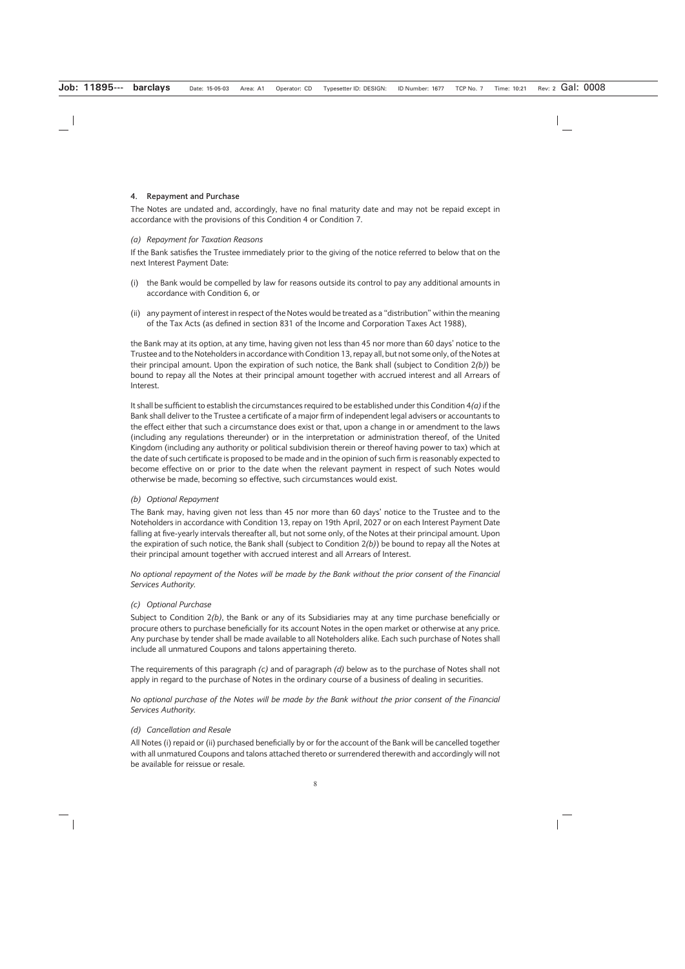### **4. Repayment and Purchase**

The Notes are undated and, accordingly, have no final maturity date and may not be repaid except in accordance with the provisions of this Condition 4 or Condition 7.

#### *(a) Repayment for Taxation Reasons*

If the Bank satisfies the Trustee immediately prior to the giving of the notice referred to below that on the next Interest Payment Date:

- (i) the Bank would be compelled by law for reasons outside its control to pay any additional amounts in accordance with Condition 6, or
- (ii) any payment of interest in respect of the Notes would be treated as a "distribution" within the meaning of the Tax Acts (as defined in section 831 of the Income and Corporation Taxes Act 1988),

the Bank may at its option, at any time, having given not less than 45 nor more than 60 days' notice to the Trustee and to the Noteholders in accordance with Condition 13, repay all, but not some only, of the Notes at their principal amount. Upon the expiration of such notice, the Bank shall (subject to Condition 2*(b)*) be bound to repay all the Notes at their principal amount together with accrued interest and all Arrears of Interest.

It shall be sufficient to establish the circumstances required to be established under this Condition 4*(a)*if the Bank shall deliver to the Trustee a certificate of a major firm of independent legal advisers or accountants to the effect either that such a circumstance does exist or that, upon a change in or amendment to the laws (including any regulations thereunder) or in the interpretation or administration thereof, of the United Kingdom (including any authority or political subdivision therein or thereof having power to tax) which at the date of such certificate is proposed to be made and in the opinion of such firm is reasonably expected to become effective on or prior to the date when the relevant payment in respect of such Notes would otherwise be made, becoming so effective, such circumstances would exist.

# *(b) Optional Repayment*

The Bank may, having given not less than 45 nor more than 60 days' notice to the Trustee and to the Noteholders in accordance with Condition 13, repay on 19th April, 2027 or on each Interest Payment Date falling at five-yearly intervals thereafter all, but not some only, of the Notes at their principal amount. Upon the expiration of such notice, the Bank shall (subject to Condition 2*(b)*) be bound to repay all the Notes at their principal amount together with accrued interest and all Arrears of Interest.

*No optional repayment of the Notes will be made by the Bank without the prior consent of the Financial Services Authority.*

# *(c) Optional Purchase*

Subject to Condition 2*(b)*, the Bank or any of its Subsidiaries may at any time purchase beneficially or procure others to purchase beneficially for its account Notes in the open market or otherwise at any price. Any purchase by tender shall be made available to all Noteholders alike. Each such purchase of Notes shall include all unmatured Coupons and talons appertaining thereto.

The requirements of this paragraph *(c)* and of paragraph *(d)* below as to the purchase of Notes shall not apply in regard to the purchase of Notes in the ordinary course of a business of dealing in securities.

*No optional purchase of the Notes will be made by the Bank without the prior consent of the Financial Services Authority.*

#### *(d) Cancellation and Resale*

All Notes (i) repaid or (ii) purchased beneficially by or for the account of the Bank will be cancelled together with all unmatured Coupons and talons attached thereto or surrendered therewith and accordingly will not be available for reissue or resale.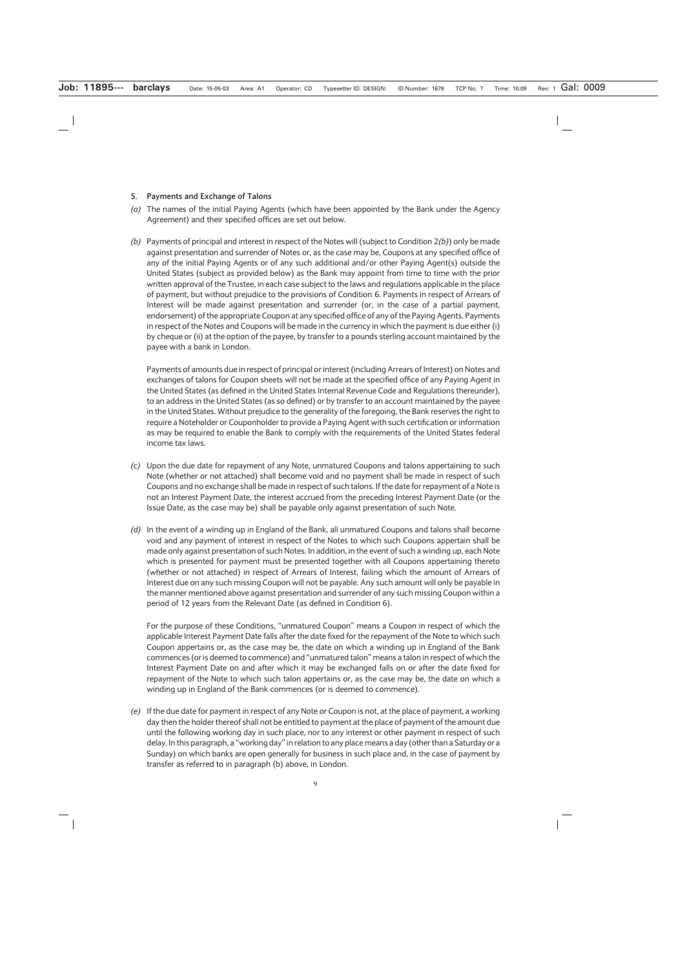#### **5. Payments and Exchange of Talons**

- *(a)* The names of the initial Paying Agents (which have been appointed by the Bank under the Agency Agreement) and their specified offices are set out below.
- *(b)* Payments of principal and interest in respect of the Notes will (subject to Condition 2*(b)*) only be made against presentation and surrender of Notes or, as the case may be, Coupons at any specified office of any of the initial Paying Agents or of any such additional and/or other Paying Agent(s) outside the United States (subject as provided below) as the Bank may appoint from time to time with the prior written approval of the Trustee, in each case subject to the laws and regulations applicable in the place of payment, but without prejudice to the provisions of Condition 6. Payments in respect of Arrears of Interest will be made against presentation and surrender (or, in the case of a partial payment, endorsement) of the appropriate Coupon at any specified office of any of the Paying Agents. Payments in respect of the Notes and Coupons will be made in the currency in which the payment is due either (i) by cheque or (ii) at the option of the payee, by transfer to a pounds sterling account maintained by the payee with a bank in London.

Payments of amounts due in respect of principal or interest (including Arrears of Interest) on Notes and exchanges of talons for Coupon sheets will not be made at the specified office of any Paying Agent in the United States (as defined in the United States Internal Revenue Code and Regulations thereunder), to an address in the United States (as so defined) or by transfer to an account maintained by the payee in the United States. Without prejudice to the generality of the foregoing, the Bank reserves the right to require a Noteholder or Couponholder to provide a Paying Agent with such certification or information as may be required to enable the Bank to comply with the requirements of the United States federal income tax laws.

- *(c)* Upon the due date for repayment of any Note, unmatured Coupons and talons appertaining to such Note (whether or not attached) shall become void and no payment shall be made in respect of such Coupons and no exchange shall be made in respect of such talons. If the date for repayment of a Note is not an Interest Payment Date, the interest accrued from the preceding Interest Payment Date (or the Issue Date, as the case may be) shall be payable only against presentation of such Note.
- *(d)* In the event of a winding up in England of the Bank, all unmatured Coupons and talons shall become void and any payment of interest in respect of the Notes to which such Coupons appertain shall be made only against presentation of such Notes. In addition, in the event of such a winding up, each Note which is presented for payment must be presented together with all Coupons appertaining thereto (whether or not attached) in respect of Arrears of Interest, failing which the amount of Arrears of Interest due on any such missing Coupon will not be payable. Any such amount will only be payable in the manner mentioned above against presentation and surrender of any such missing Coupon within a period of 12 years from the Relevant Date (as defined in Condition 6).

For the purpose of these Conditions, "unmatured Coupon" means a Coupon in respect of which the applicable Interest Payment Date falls after the date fixed for the repayment of the Note to which such Coupon appertains or, as the case may be, the date on which a winding up in England of the Bank commences (or is deemed to commence) and "unmatured talon" means a talon in respect of which the Interest Payment Date on and after which it may be exchanged falls on or after the date fixed for repayment of the Note to which such talon appertains or, as the case may be, the date on which a winding up in England of the Bank commences (or is deemed to commence).

*(e)* If the due date for payment in respect of any Note or Coupon is not, at the place of payment, a working day then the holder thereof shall not be entitled to payment at the place of payment of the amount due until the following working day in such place, nor to any interest or other payment in respect of such delay. In this paragraph, a "working day" in relation to any place means a day (other than a Saturday or a Sunday) on which banks are open generally for business in such place and, in the case of payment by transfer as referred to in paragraph (b) above, in London.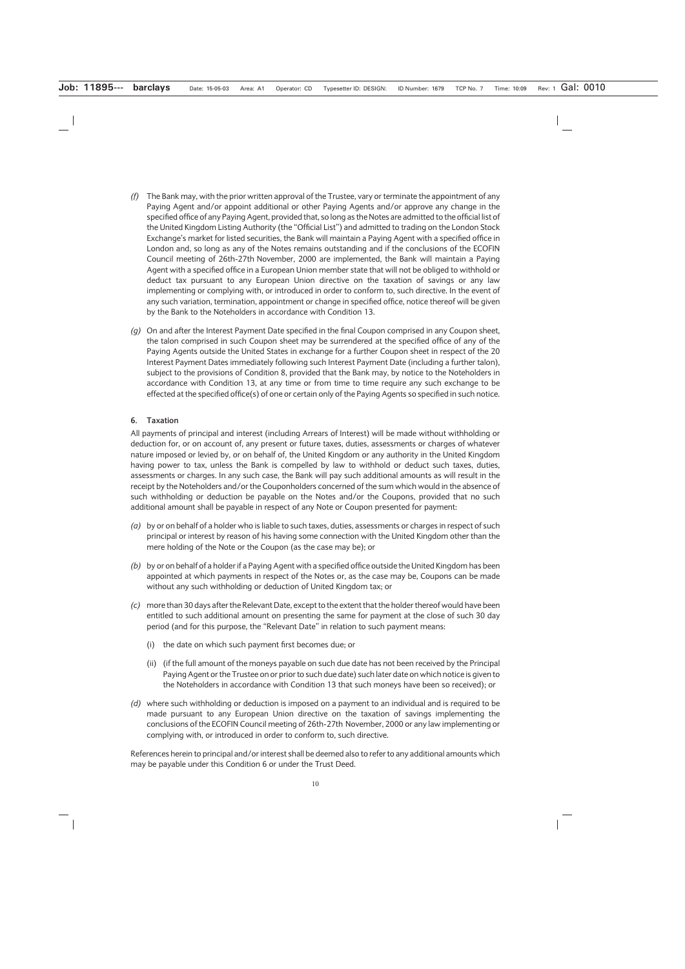- *(f)* The Bank may, with the prior written approval of the Trustee, vary or terminate the appointment of any Paying Agent and/or appoint additional or other Paying Agents and/or approve any change in the specified office of any Paying Agent, provided that, so long as the Notes are admitted to the official list of the United Kingdom Listing Authority (the "Official List") and admitted to trading on the London Stock Exchange's market for listed securities, the Bank will maintain a Paying Agent with a specified office in London and, so long as any of the Notes remains outstanding and if the conclusions of the ECOFIN Council meeting of 26th-27th November, 2000 are implemented, the Bank will maintain a Paying Agent with a specified office in a European Union member state that will not be obliged to withhold or deduct tax pursuant to any European Union directive on the taxation of savings or any law implementing or complying with, or introduced in order to conform to, such directive. In the event of any such variation, termination, appointment or change in specified office, notice thereof will be given by the Bank to the Noteholders in accordance with Condition 13.
- *(g)* On and after the Interest Payment Date specified in the final Coupon comprised in any Coupon sheet, the talon comprised in such Coupon sheet may be surrendered at the specified office of any of the Paying Agents outside the United States in exchange for a further Coupon sheet in respect of the 20 Interest Payment Dates immediately following such Interest Payment Date (including a further talon), subject to the provisions of Condition 8, provided that the Bank may, by notice to the Noteholders in accordance with Condition 13, at any time or from time to time require any such exchange to be effected at the specified office(s) of one or certain only of the Paying Agents so specified in such notice.

### **6. Taxation**

All payments of principal and interest (including Arrears of Interest) will be made without withholding or deduction for, or on account of, any present or future taxes, duties, assessments or charges of whatever nature imposed or levied by, or on behalf of, the United Kingdom or any authority in the United Kingdom having power to tax, unless the Bank is compelled by law to withhold or deduct such taxes, duties, assessments or charges. In any such case, the Bank will pay such additional amounts as will result in the receipt by the Noteholders and/or the Couponholders concerned of the sum which would in the absence of such withholding or deduction be payable on the Notes and/or the Coupons, provided that no such additional amount shall be payable in respect of any Note or Coupon presented for payment:

- *(a)* by or on behalf of a holder who is liable to such taxes, duties, assessments or charges in respect of such principal or interest by reason of his having some connection with the United Kingdom other than the mere holding of the Note or the Coupon (as the case may be); or
- *(b)* by or on behalf of a holder if a Paying Agent with a specified office outside the United Kingdom has been appointed at which payments in respect of the Notes or, as the case may be, Coupons can be made without any such withholding or deduction of United Kingdom tax; or
- *(c)* more than 30 days after the Relevant Date, except to the extent that the holder thereof would have been entitled to such additional amount on presenting the same for payment at the close of such 30 day period (and for this purpose, the "Relevant Date" in relation to such payment means:
	- (i) the date on which such payment first becomes due; or
	- (ii) (if the full amount of the moneys payable on such due date has not been received by the Principal Paying Agent or the Trustee on or prior to such due date) such later date on which notice is given to the Noteholders in accordance with Condition 13 that such moneys have been so received); or
- *(d)* where such withholding or deduction is imposed on a payment to an individual and is required to be made pursuant to any European Union directive on the taxation of savings implementing the conclusions of the ECOFIN Council meeting of 26th-27th November, 2000 or any law implementing or complying with, or introduced in order to conform to, such directive.

References herein to principal and/or interest shall be deemed also to refer to any additional amounts which may be payable under this Condition 6 or under the Trust Deed.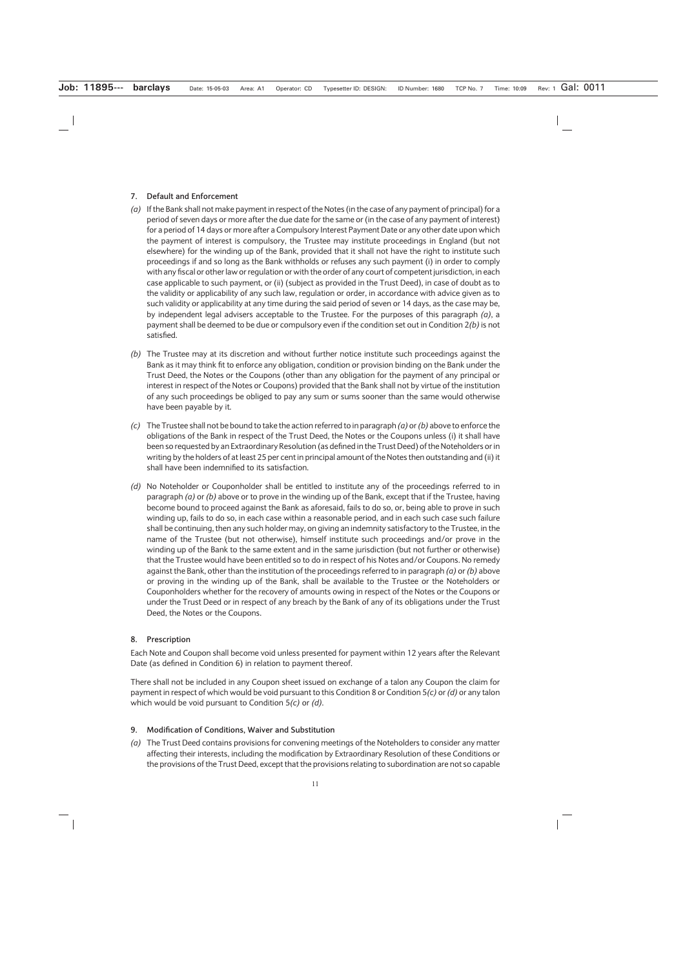### **7. Default and Enforcement**

- *(a)* If the Bank shall not make payment in respect of the Notes (in the case of any payment of principal) for a period of seven days or more after the due date for the same or (in the case of any payment of interest) for a period of 14 days or more after a Compulsory Interest Payment Date or any other date upon which the payment of interest is compulsory, the Trustee may institute proceedings in England (but not elsewhere) for the winding up of the Bank, provided that it shall not have the right to institute such proceedings if and so long as the Bank withholds or refuses any such payment (i) in order to comply with any fiscal or other law or regulation or with the order of any court of competent jurisdiction, in each case applicable to such payment, or (ii) (subject as provided in the Trust Deed), in case of doubt as to the validity or applicability of any such law, regulation or order, in accordance with advice given as to such validity or applicability at any time during the said period of seven or 14 days, as the case may be, by independent legal advisers acceptable to the Trustee. For the purposes of this paragraph *(a)*, a payment shall be deemed to be due or compulsory even if the condition set out in Condition 2*(b)* is not satisfied.
- *(b)* The Trustee may at its discretion and without further notice institute such proceedings against the Bank as it may think fit to enforce any obligation, condition or provision binding on the Bank under the Trust Deed, the Notes or the Coupons (other than any obligation for the payment of any principal or interest in respect of the Notes or Coupons) provided that the Bank shall not by virtue of the institution of any such proceedings be obliged to pay any sum or sums sooner than the same would otherwise have been payable by it.
- *(c)* The Trustee shall not be bound to take the action referred to in paragraph *(a)* or *(b)* above to enforce the obligations of the Bank in respect of the Trust Deed, the Notes or the Coupons unless (i) it shall have been so requested by an Extraordinary Resolution (as defined in the Trust Deed) of the Noteholders or in writing by the holders of at least 25 per cent in principal amount of the Notes then outstanding and (ii) it shall have been indemnified to its satisfaction.
- *(d)* No Noteholder or Couponholder shall be entitled to institute any of the proceedings referred to in paragraph *(a)* or *(b)* above or to prove in the winding up of the Bank, except that if the Trustee, having become bound to proceed against the Bank as aforesaid, fails to do so, or, being able to prove in such winding up, fails to do so, in each case within a reasonable period, and in each such case such failure shall be continuing, then any such holder may, on giving an indemnity satisfactory to the Trustee, in the name of the Trustee (but not otherwise), himself institute such proceedings and/or prove in the winding up of the Bank to the same extent and in the same jurisdiction (but not further or otherwise) that the Trustee would have been entitled so to do in respect of his Notes and/or Coupons. No remedy against the Bank, other than the institution of the proceedings referred to in paragraph *(a)* or *(b)* above or proving in the winding up of the Bank, shall be available to the Trustee or the Noteholders or Couponholders whether for the recovery of amounts owing in respect of the Notes or the Coupons or under the Trust Deed or in respect of any breach by the Bank of any of its obligations under the Trust Deed, the Notes or the Coupons.

# **8. Prescription**

Each Note and Coupon shall become void unless presented for payment within 12 years after the Relevant Date (as defined in Condition 6) in relation to payment thereof.

There shall not be included in any Coupon sheet issued on exchange of a talon any Coupon the claim for payment in respect of which would be void pursuant to this Condition 8 or Condition 5*(c)* or *(d)* or any talon which would be void pursuant to Condition 5*(c)* or *(d)*.

#### **9. Modification of Conditions, Waiver and Substitution**

*(a)* The Trust Deed contains provisions for convening meetings of the Noteholders to consider any matter affecting their interests, including the modification by Extraordinary Resolution of these Conditions or the provisions of the Trust Deed, except that the provisions relating to subordination are not so capable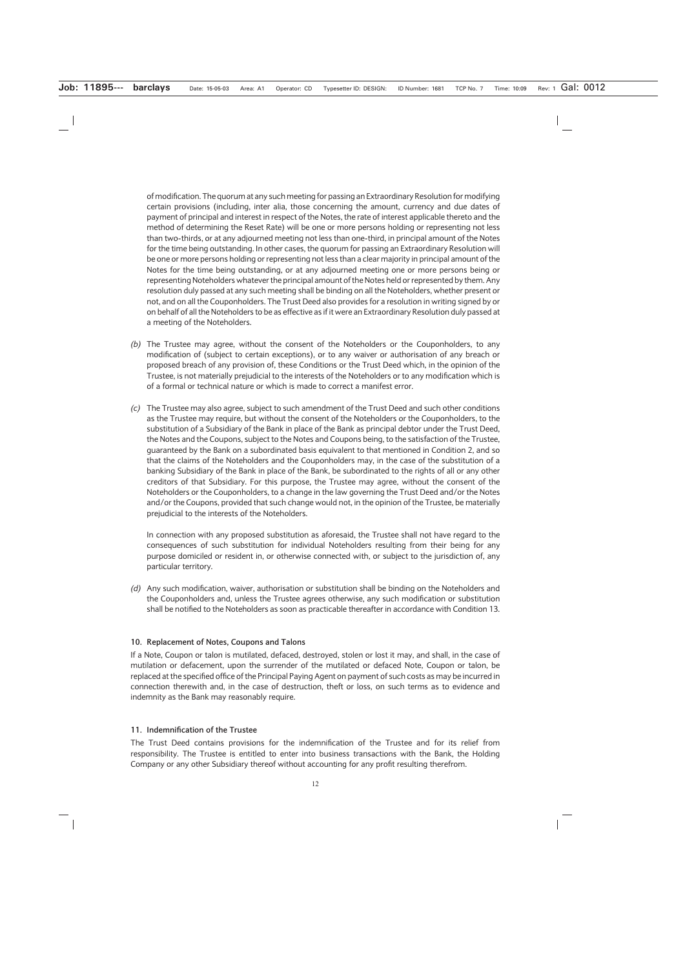of modification. The quorum at any such meeting for passing an Extraordinary Resolution for modifying certain provisions (including, inter alia, those concerning the amount, currency and due dates of payment of principal and interest in respect of the Notes, the rate of interest applicable thereto and the method of determining the Reset Rate) will be one or more persons holding or representing not less than two-thirds, or at any adjourned meeting not less than one-third, in principal amount of the Notes for the time being outstanding. In other cases, the quorum for passing an Extraordinary Resolution will be one or more persons holding or representing not less than a clear majority in principal amount of the Notes for the time being outstanding, or at any adjourned meeting one or more persons being or representing Noteholders whatever the principal amount of the Notes held or represented by them. Any resolution duly passed at any such meeting shall be binding on all the Noteholders, whether present or not, and on all the Couponholders. The Trust Deed also provides for a resolution in writing signed by or on behalf of all the Noteholders to be as effective as if it were an Extraordinary Resolution duly passed at a meeting of the Noteholders.

- *(b)* The Trustee may agree, without the consent of the Noteholders or the Couponholders, to any modification of (subject to certain exceptions), or to any waiver or authorisation of any breach or proposed breach of any provision of, these Conditions or the Trust Deed which, in the opinion of the Trustee, is not materially prejudicial to the interests of the Noteholders or to any modification which is of a formal or technical nature or which is made to correct a manifest error.
- *(c)* The Trustee may also agree, subject to such amendment of the Trust Deed and such other conditions as the Trustee may require, but without the consent of the Noteholders or the Couponholders, to the substitution of a Subsidiary of the Bank in place of the Bank as principal debtor under the Trust Deed, the Notes and the Coupons, subject to the Notes and Coupons being, to the satisfaction of the Trustee, guaranteed by the Bank on a subordinated basis equivalent to that mentioned in Condition 2, and so that the claims of the Noteholders and the Couponholders may, in the case of the substitution of a banking Subsidiary of the Bank in place of the Bank, be subordinated to the rights of all or any other creditors of that Subsidiary. For this purpose, the Trustee may agree, without the consent of the Noteholders or the Couponholders, to a change in the law governing the Trust Deed and/or the Notes and/or the Coupons, provided that such change would not, in the opinion of the Trustee, be materially prejudicial to the interests of the Noteholders.

In connection with any proposed substitution as aforesaid, the Trustee shall not have regard to the consequences of such substitution for individual Noteholders resulting from their being for any purpose domiciled or resident in, or otherwise connected with, or subject to the jurisdiction of, any particular territory.

*(d)* Any such modification, waiver, authorisation or substitution shall be binding on the Noteholders and the Couponholders and, unless the Trustee agrees otherwise, any such modification or substitution shall be notified to the Noteholders as soon as practicable thereafter in accordance with Condition 13.

#### **10. Replacement of Notes, Coupons and Talons**

If a Note, Coupon or talon is mutilated, defaced, destroyed, stolen or lost it may, and shall, in the case of mutilation or defacement, upon the surrender of the mutilated or defaced Note, Coupon or talon, be replaced at the specified office of the Principal Paying Agent on payment of such costs as may be incurred in connection therewith and, in the case of destruction, theft or loss, on such terms as to evidence and indemnity as the Bank may reasonably require.

#### **11. Indemnification of the Trustee**

The Trust Deed contains provisions for the indemnification of the Trustee and for its relief from responsibility. The Trustee is entitled to enter into business transactions with the Bank, the Holding Company or any other Subsidiary thereof without accounting for any profit resulting therefrom.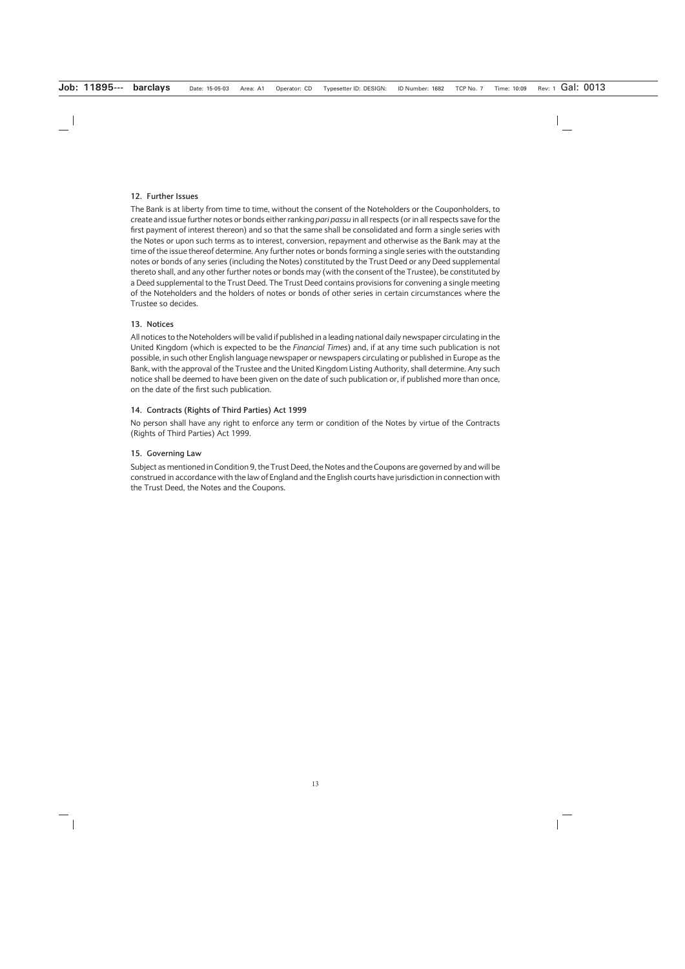#### **12. Further Issues**

The Bank is at liberty from time to time, without the consent of the Noteholders or the Couponholders, to create and issue further notes or bonds either ranking *pari passu* in all respects (or in all respects save for the first payment of interest thereon) and so that the same shall be consolidated and form a single series with the Notes or upon such terms as to interest, conversion, repayment and otherwise as the Bank may at the time of the issue thereof determine. Any further notes or bonds forming a single series with the outstanding notes or bonds of any series (including the Notes) constituted by the Trust Deed or any Deed supplemental thereto shall, and any other further notes or bonds may (with the consent of the Trustee), be constituted by a Deed supplemental to the Trust Deed. The Trust Deed contains provisions for convening a single meeting of the Noteholders and the holders of notes or bonds of other series in certain circumstances where the Trustee so decides.

### **13. Notices**

All notices to the Noteholders will be valid if published in a leading national daily newspaper circulating in the United Kingdom (which is expected to be the *Financial Times*) and, if at any time such publication is not possible, in such other English language newspaper or newspapers circulating or published in Europe as the Bank, with the approval of the Trustee and the United Kingdom Listing Authority, shall determine. Any such notice shall be deemed to have been given on the date of such publication or, if published more than once, on the date of the first such publication.

### **14. Contracts (Rights of Third Parties) Act 1999**

No person shall have any right to enforce any term or condition of the Notes by virtue of the Contracts (Rights of Third Parties) Act 1999.

### **15. Governing Law**

Subject as mentioned in Condition 9, the Trust Deed, the Notes and the Coupons are governed by and will be construed in accordance with the law of England and the English courts have jurisdiction in connection with the Trust Deed, the Notes and the Coupons.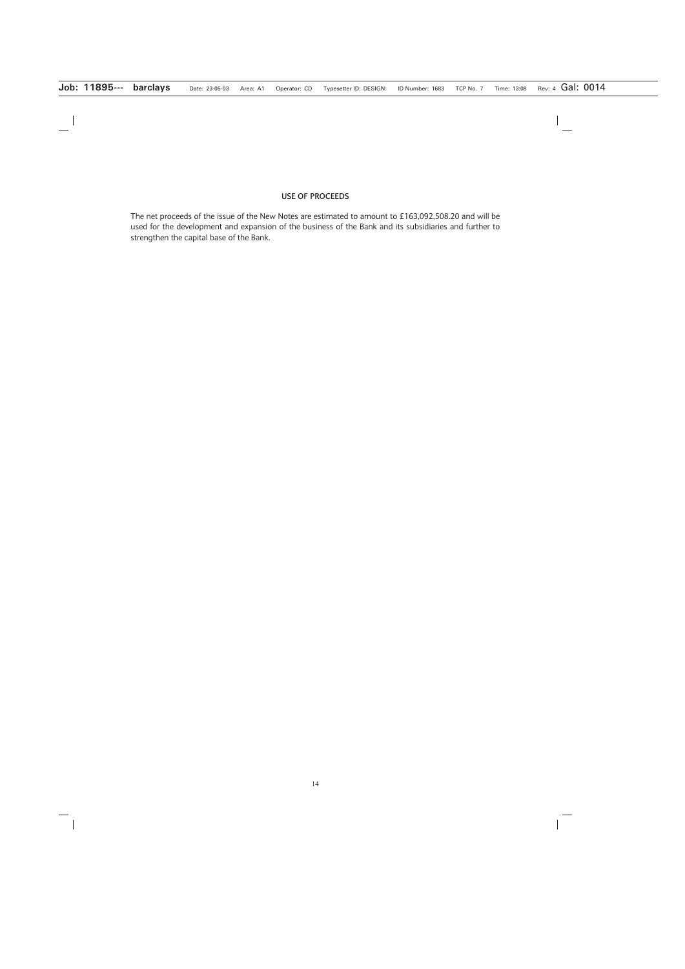#### **USE OF PROCEEDS**

The net proceeds of the issue of the New Notes are estimated to amount to £163,092,508.20 and will be used for the development and expansion of the business of the Bank and its subsidiaries and further to strengthen the capital base of the Bank.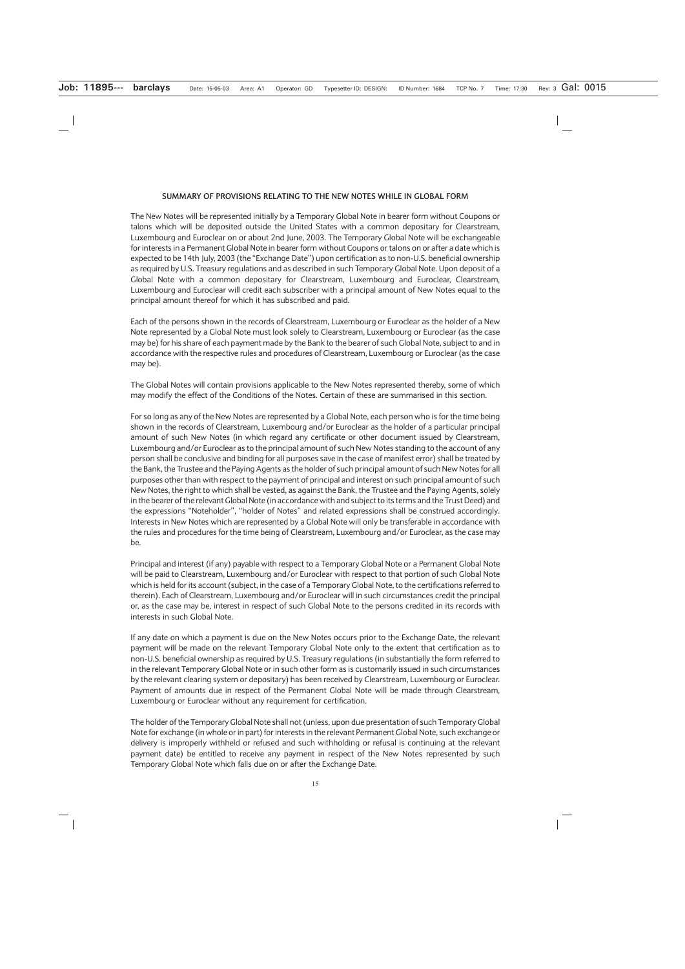#### **SUMMARY OF PROVISIONS RELATING TO THE NEW NOTES WHILE IN GLOBAL FORM**

The New Notes will be represented initially by a Temporary Global Note in bearer form without Coupons or talons which will be deposited outside the United States with a common depositary for Clearstream, Luxembourg and Euroclear on or about 2nd June, 2003. The Temporary Global Note will be exchangeable for interests in a Permanent Global Note in bearer form without Coupons or talons on or after a date which is expected to be 14th July, 2003 (the "Exchange Date") upon certification as to non-U.S. beneficial ownership as required by U.S. Treasury regulations and as described in such Temporary Global Note. Upon deposit of a Global Note with a common depositary for Clearstream, Luxembourg and Euroclear, Clearstream, Luxembourg and Euroclear will credit each subscriber with a principal amount of New Notes equal to the principal amount thereof for which it has subscribed and paid.

Each of the persons shown in the records of Clearstream, Luxembourg or Euroclear as the holder of a New Note represented by a Global Note must look solely to Clearstream, Luxembourg or Euroclear (as the case may be) for his share of each payment made by the Bank to the bearer of such Global Note, subject to and in accordance with the respective rules and procedures of Clearstream, Luxembourg or Euroclear (as the case may be).

The Global Notes will contain provisions applicable to the New Notes represented thereby, some of which may modify the effect of the Conditions of the Notes. Certain of these are summarised in this section.

For so long as any of the New Notes are represented by a Global Note, each person who is for the time being shown in the records of Clearstream, Luxembourg and/or Euroclear as the holder of a particular principal amount of such New Notes (in which regard any certificate or other document issued by Clearstream, Luxembourg and/or Euroclear as to the principal amount of such New Notes standing to the account of any person shall be conclusive and binding for all purposes save in the case of manifest error) shall be treated by the Bank, the Trustee and the Paying Agents as the holder of such principal amount of such New Notes for all purposes other than with respect to the payment of principal and interest on such principal amount of such New Notes, the right to which shall be vested, as against the Bank, the Trustee and the Paying Agents, solely in the bearer of the relevant Global Note (in accordance with and subject to its terms and the Trust Deed) and the expressions "Noteholder", "holder of Notes" and related expressions shall be construed accordingly. Interests in New Notes which are represented by a Global Note will only be transferable in accordance with the rules and procedures for the time being of Clearstream, Luxembourg and/or Euroclear, as the case may be.

Principal and interest (if any) payable with respect to a Temporary Global Note or a Permanent Global Note will be paid to Clearstream, Luxembourg and/or Euroclear with respect to that portion of such Global Note which is held for its account (subject, in the case of a Temporary Global Note, to the certifications referred to therein). Each of Clearstream, Luxembourg and/or Euroclear will in such circumstances credit the principal or, as the case may be, interest in respect of such Global Note to the persons credited in its records with interests in such Global Note.

If any date on which a payment is due on the New Notes occurs prior to the Exchange Date, the relevant payment will be made on the relevant Temporary Global Note only to the extent that certification as to non-U.S. beneficial ownership as required by U.S. Treasury regulations (in substantially the form referred to in the relevant Temporary Global Note or in such other form as is customarily issued in such circumstances by the relevant clearing system or depositary) has been received by Clearstream, Luxembourg or Euroclear. Payment of amounts due in respect of the Permanent Global Note will be made through Clearstream, Luxembourg or Euroclear without any requirement for certification.

The holder of the Temporary Global Note shall not (unless, upon due presentation of such Temporary Global Note for exchange (in whole or in part) for interests in the relevant Permanent Global Note, such exchange or delivery is improperly withheld or refused and such withholding or refusal is continuing at the relevant payment date) be entitled to receive any payment in respect of the New Notes represented by such Temporary Global Note which falls due on or after the Exchange Date.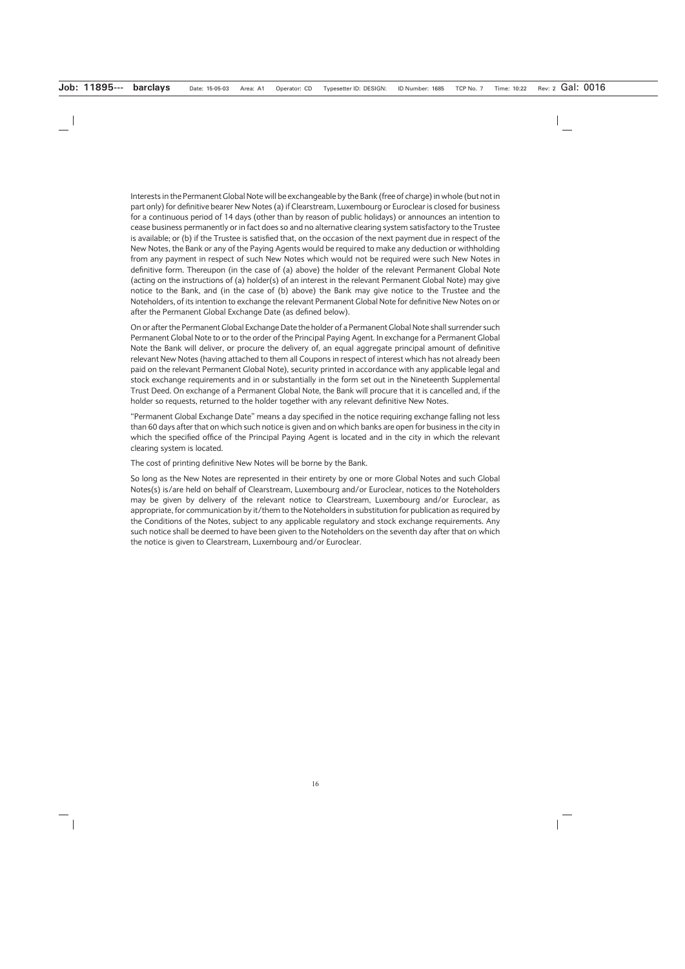Interests in the Permanent Global Note will be exchangeable by the Bank (free of charge) in whole (but not in part only) for definitive bearer New Notes (a) if Clearstream, Luxembourg or Euroclear is closed for business for a continuous period of 14 days (other than by reason of public holidays) or announces an intention to cease business permanently or in fact does so and no alternative clearing system satisfactory to the Trustee is available; or (b) if the Trustee is satisfied that, on the occasion of the next payment due in respect of the New Notes, the Bank or any of the Paying Agents would be required to make any deduction or withholding from any payment in respect of such New Notes which would not be required were such New Notes in definitive form. Thereupon (in the case of (a) above) the holder of the relevant Permanent Global Note (acting on the instructions of (a) holder(s) of an interest in the relevant Permanent Global Note) may give notice to the Bank, and (in the case of (b) above) the Bank may give notice to the Trustee and the Noteholders, of its intention to exchange the relevant Permanent Global Note for definitive New Notes on or after the Permanent Global Exchange Date (as defined below).

On or after the Permanent Global Exchange Date the holder of a Permanent Global Note shall surrender such Permanent Global Note to or to the order of the Principal Paying Agent. In exchange for a Permanent Global Note the Bank will deliver, or procure the delivery of, an equal aggregate principal amount of definitive relevant New Notes (having attached to them all Coupons in respect of interest which has not already been paid on the relevant Permanent Global Note), security printed in accordance with any applicable legal and stock exchange requirements and in or substantially in the form set out in the Nineteenth Supplemental Trust Deed. On exchange of a Permanent Global Note, the Bank will procure that it is cancelled and, if the holder so requests, returned to the holder together with any relevant definitive New Notes.

"Permanent Global Exchange Date" means a day specified in the notice requiring exchange falling not less than 60 days after that on which such notice is given and on which banks are open for business in the city in which the specified office of the Principal Paying Agent is located and in the city in which the relevant clearing system is located.

The cost of printing definitive New Notes will be borne by the Bank.

So long as the New Notes are represented in their entirety by one or more Global Notes and such Global Notes(s) is/are held on behalf of Clearstream, Luxembourg and/or Euroclear, notices to the Noteholders may be given by delivery of the relevant notice to Clearstream, Luxembourg and/or Euroclear, as appropriate, for communication by it/them to the Noteholders in substitution for publication as required by the Conditions of the Notes, subject to any applicable regulatory and stock exchange requirements. Any such notice shall be deemed to have been given to the Noteholders on the seventh day after that on which the notice is given to Clearstream, Luxembourg and/or Euroclear.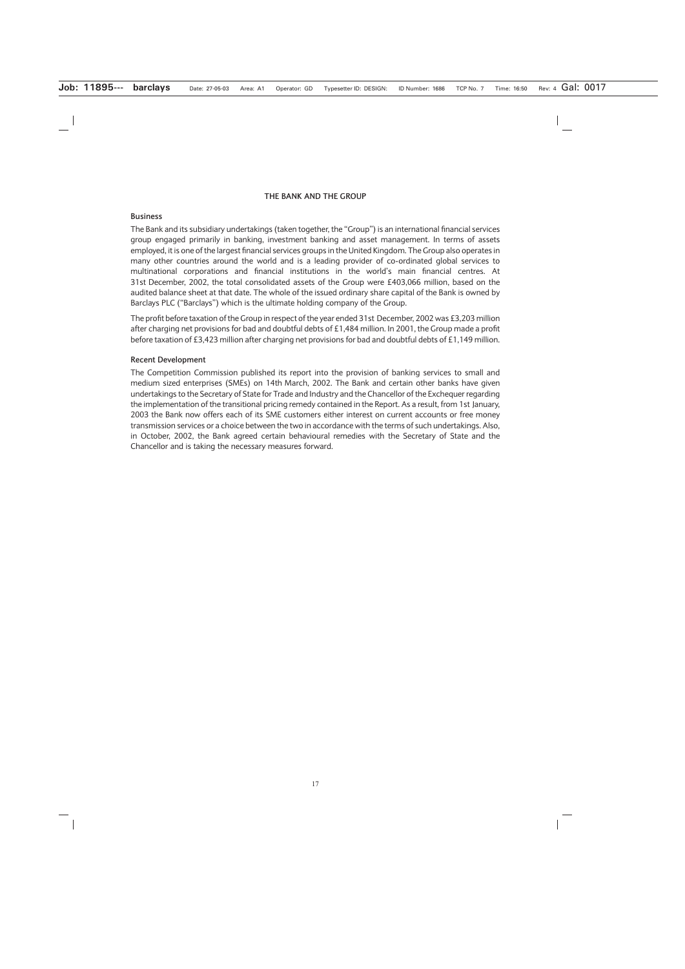#### **THE BANK AND THE GROUP**

#### **Business**

The Bank and its subsidiary undertakings (taken together, the "Group") is an international financial services group engaged primarily in banking, investment banking and asset management. In terms of assets employed, it is one of the largest financial services groups in the United Kingdom. The Group also operates in many other countries around the world and is a leading provider of co-ordinated global services to multinational corporations and financial institutions in the world's main financial centres. At 31st December, 2002, the total consolidated assets of the Group were £403,066 million, based on the audited balance sheet at that date. The whole of the issued ordinary share capital of the Bank is owned by Barclays PLC ("Barclays") which is the ultimate holding company of the Group.

The profit before taxation of the Group in respect of the year ended 31st December, 2002 was £3,203 million after charging net provisions for bad and doubtful debts of £1,484 million. In 2001, the Group made a profit before taxation of £3,423 million after charging net provisions for bad and doubtful debts of £1,149 million.

#### **Recent Development**

The Competition Commission published its report into the provision of banking services to small and medium sized enterprises (SMEs) on 14th March, 2002. The Bank and certain other banks have given undertakings to the Secretary of State for Trade and Industry and the Chancellor of the Exchequer regarding the implementation of the transitional pricing remedy contained in the Report. As a result, from 1st January, 2003 the Bank now offers each of its SME customers either interest on current accounts or free money transmission services or a choice between the two in accordance with the terms of such undertakings. Also, in October, 2002, the Bank agreed certain behavioural remedies with the Secretary of State and the Chancellor and is taking the necessary measures forward.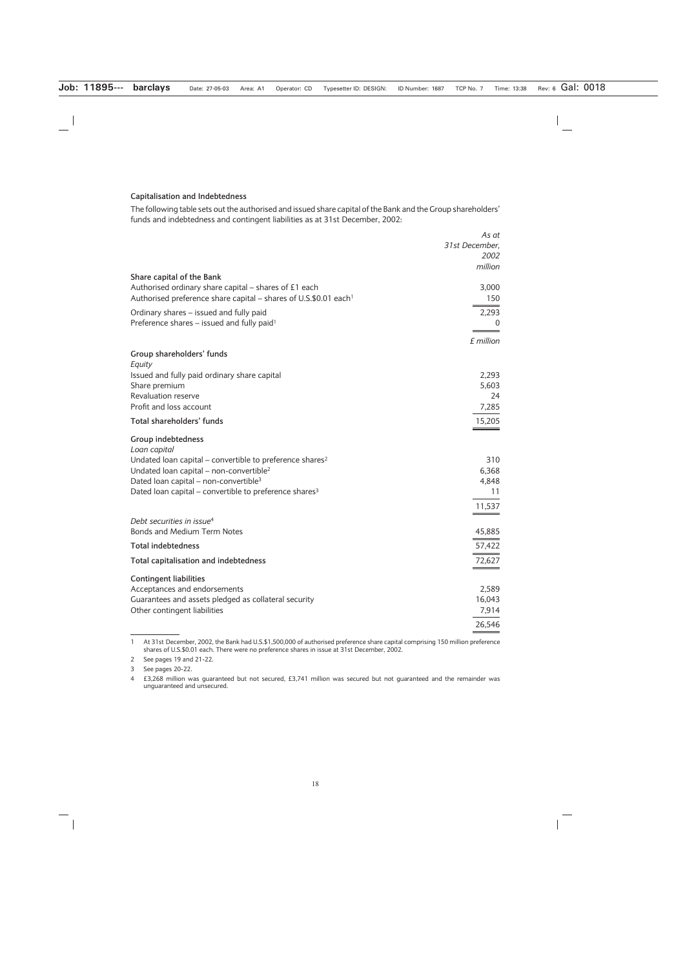#### **Capitalisation and Indebtedness**

The following table sets out the authorised and issued share capital of the Bank and the Group shareholders' funds and indebtedness and contingent liabilities as at 31st December, 2002:

|                                                                              | As at          |
|------------------------------------------------------------------------------|----------------|
|                                                                              | 31st December, |
|                                                                              | 2002           |
|                                                                              | million        |
| Share capital of the Bank                                                    |                |
| Authorised ordinary share capital – shares of £1 each                        | 3,000          |
| Authorised preference share capital – shares of U.S.\$0.01 each <sup>1</sup> | 150            |
| Ordinary shares - issued and fully paid                                      | 2,293          |
| Preference shares - issued and fully paid <sup>1</sup>                       | $\Omega$       |
|                                                                              |                |
|                                                                              | £ million      |
| Group shareholders' funds                                                    |                |
| Equity                                                                       |                |
| Issued and fully paid ordinary share capital                                 | 2,293          |
| Share premium                                                                | 5,603          |
| Revaluation reserve                                                          | 24             |
| Profit and loss account                                                      | 7,285          |
| Total shareholders' funds                                                    | 15,205         |
| Group indebtedness                                                           |                |
| Loan capital                                                                 |                |
| Undated loan capital – convertible to preference shares <sup>2</sup>         | 310            |
| Undated loan capital – non-convertible <sup>2</sup>                          | 6,368          |
| Dated loan capital - non-convertible <sup>3</sup>                            | 4,848          |
| Dated loan capital – convertible to preference shares <sup>3</sup>           | 11             |
|                                                                              |                |
|                                                                              | 11,537         |
| Debt securities in issue <sup>4</sup>                                        |                |
| <b>Bonds and Medium Term Notes</b>                                           | 45,885         |
| <b>Total indebtedness</b>                                                    | 57,422         |
| Total capitalisation and indebtedness                                        | 72,627         |
|                                                                              |                |
| <b>Contingent liabilities</b>                                                |                |
| Acceptances and endorsements                                                 | 2,589          |
| Guarantees and assets pledged as collateral security                         | 16,043         |
| Other contingent liabilities                                                 | 7,914          |
|                                                                              | 26,546         |
|                                                                              |                |

<sup>1</sup> At 31st December, 2002, the Bank had U.S.\$1,500,000 of authorised preference share capital comprising 150 million preference shares of U.S.\$0.01 each. There were no preference shares in issue at 31st December, 2002.

<sup>2</sup> See pages 19 and 21-22.

<sup>3</sup> See pages 20-22.

<sup>4 £3,268</sup> million was guaranteed but not secured, £3,741 million was secured but not guaranteed and the remainder was unguaranteed and unsecured.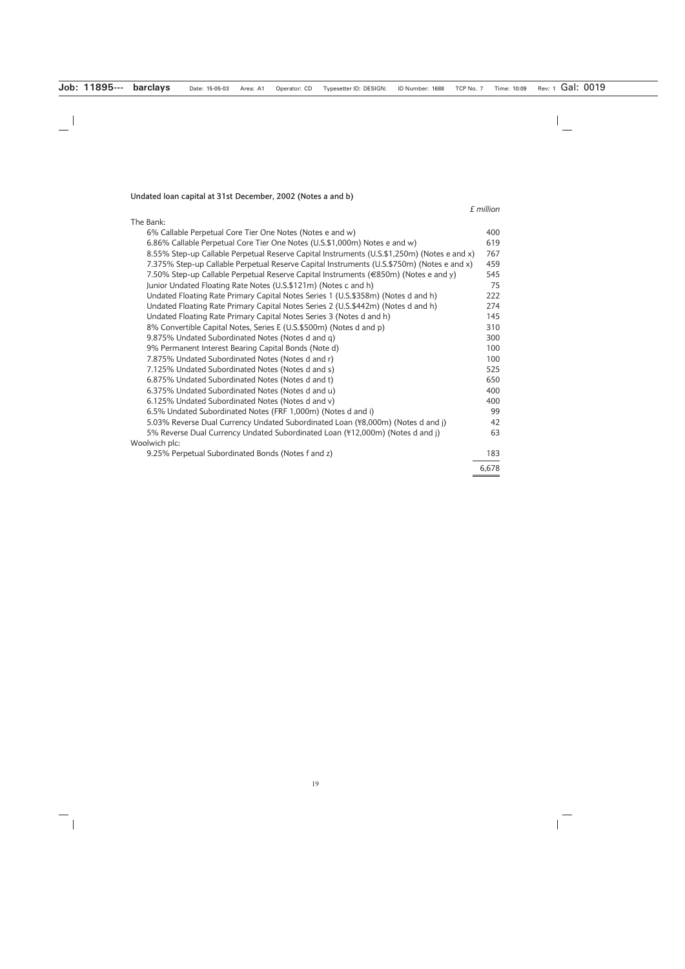# **Undated loan capital at 31st December, 2002 (Notes a and b)**

*£ million*

| The Bank:                                                                                   |       |
|---------------------------------------------------------------------------------------------|-------|
| 6% Callable Perpetual Core Tier One Notes (Notes e and w)                                   | 400   |
| 6.86% Callable Perpetual Core Tier One Notes (U.S.\$1,000m) Notes e and w)                  | 619   |
| 8.55% Step-up Callable Perpetual Reserve Capital Instruments (U.S.\$1,250m) (Notes e and x) | 767   |
| 7.375% Step-up Callable Perpetual Reserve Capital Instruments (U.S.\$750m) (Notes e and x)  | 459   |
| 7.50% Step-up Callable Perpetual Reserve Capital Instruments (€850m) (Notes e and y)        | 545   |
| Junior Undated Floating Rate Notes (U.S.\$121m) (Notes c and h)                             | 75    |
| Undated Floating Rate Primary Capital Notes Series 1 (U.S.\$358m) (Notes d and h)           | 222   |
| Undated Floating Rate Primary Capital Notes Series 2 (U.S.\$442m) (Notes d and h)           | 274   |
| Undated Floating Rate Primary Capital Notes Series 3 (Notes d and h)                        | 145   |
| 8% Convertible Capital Notes, Series E (U.S.\$500m) (Notes d and p)                         | 310   |
| 9.875% Undated Subordinated Notes (Notes d and q)                                           | 300   |
| 9% Permanent Interest Bearing Capital Bonds (Note d)                                        | 100   |
| 7.875% Undated Subordinated Notes (Notes d and r)                                           | 100   |
| 7.125% Undated Subordinated Notes (Notes d and s)                                           | 525   |
| 6.875% Undated Subordinated Notes (Notes d and t)                                           | 650   |
| 6.375% Undated Subordinated Notes (Notes d and u)                                           | 400   |
| 6.125% Undated Subordinated Notes (Notes d and v)                                           | 400   |
| 6.5% Undated Subordinated Notes (FRF 1,000m) (Notes d and i)                                | 99    |
| 5.03% Reverse Dual Currency Undated Subordinated Loan (\\$8,000m) (Notes d and j)           | 42    |
| 5% Reverse Dual Currency Undated Subordinated Loan (\f412,000m) (Notes d and j)             | 63    |
| Woolwich plc:                                                                               |       |
| 9.25% Perpetual Subordinated Bonds (Notes f and z)                                          | 183   |
|                                                                                             | 6,678 |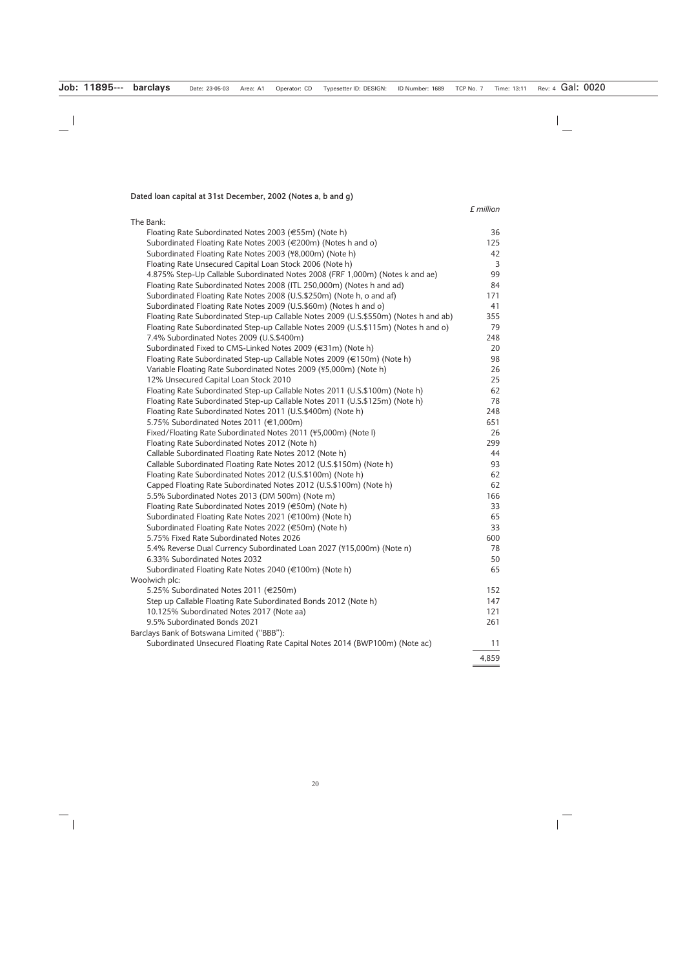**Dated loan capital at 31st December, 2002 (Notes a, b and g)**

### *£ million*

 $\overline{\phantom{0}}$ 

| The Bank:                                                                            |       |
|--------------------------------------------------------------------------------------|-------|
| Floating Rate Subordinated Notes 2003 (€55m) (Note h)                                | 36    |
| Subordinated Floating Rate Notes 2003 (€200m) (Notes h and o)                        | 125   |
| Subordinated Floating Rate Notes 2003 (\8,000m) (Note h)                             | 42    |
| Floating Rate Unsecured Capital Loan Stock 2006 (Note h)                             | 3     |
| 4.875% Step-Up Callable Subordinated Notes 2008 (FRF 1,000m) (Notes k and ae)        | 99    |
| Floating Rate Subordinated Notes 2008 (ITL 250,000m) (Notes h and ad)                | 84    |
| Subordinated Floating Rate Notes 2008 (U.S.\$250m) (Note h, o and af)                | 171   |
| Subordinated Floating Rate Notes 2009 (U.S.\$60m) (Notes h and o)                    | 41    |
| Floating Rate Subordinated Step-up Callable Notes 2009 (U.S.\$550m) (Notes h and ab) | 355   |
| Floating Rate Subordinated Step-up Callable Notes 2009 (U.S.\$115m) (Notes h and o)  | 79    |
| 7.4% Subordinated Notes 2009 (U.S.\$400m)                                            | 248   |
| Subordinated Fixed to CMS-Linked Notes 2009 (€31m) (Note h)                          | 20    |
| Floating Rate Subordinated Step-up Callable Notes 2009 (€150m) (Note h)              | 98    |
| Variable Floating Rate Subordinated Notes 2009 (\f5,000m) (Note h)                   | 26    |
| 12% Unsecured Capital Loan Stock 2010                                                | 25    |
| Floating Rate Subordinated Step-up Callable Notes 2011 (U.S.\$100m) (Note h)         | 62    |
| Floating Rate Subordinated Step-up Callable Notes 2011 (U.S.\$125m) (Note h)         | 78    |
| Floating Rate Subordinated Notes 2011 (U.S.\$400m) (Note h)                          | 248   |
| 5.75% Subordinated Notes 2011 (€1,000m)                                              | 651   |
| Fixed/Floating Rate Subordinated Notes 2011 (\\$5,000m) (Note I)                     | 26    |
| Floating Rate Subordinated Notes 2012 (Note h)                                       | 299   |
| Callable Subordinated Floating Rate Notes 2012 (Note h)                              | 44    |
| Callable Subordinated Floating Rate Notes 2012 (U.S.\$150m) (Note h)                 | 93    |
| Floating Rate Subordinated Notes 2012 (U.S.\$100m) (Note h)                          | 62    |
| Capped Floating Rate Subordinated Notes 2012 (U.S.\$100m) (Note h)                   | 62    |
| 5.5% Subordinated Notes 2013 (DM 500m) (Note m)                                      | 166   |
| Floating Rate Subordinated Notes 2019 (€50m) (Note h)                                | 33    |
| Subordinated Floating Rate Notes 2021 (€100m) (Note h)                               | 65    |
| Subordinated Floating Rate Notes 2022 (€50m) (Note h)                                | 33    |
| 5.75% Fixed Rate Subordinated Notes 2026                                             | 600   |
| 5.4% Reverse Dual Currency Subordinated Loan 2027 (\\$15,000m) (Note n)              | 78    |
| 6.33% Subordinated Notes 2032                                                        | 50    |
| Subordinated Floating Rate Notes 2040 (€100m) (Note h)                               | 65    |
| Woolwich plc:                                                                        |       |
| 5.25% Subordinated Notes 2011 (€250m)                                                | 152   |
| Step up Callable Floating Rate Subordinated Bonds 2012 (Note h)                      | 147   |
| 10.125% Subordinated Notes 2017 (Note aa)                                            | 121   |
| 9.5% Subordinated Bonds 2021                                                         | 261   |
| Barclays Bank of Botswana Limited ("BBB"):                                           |       |
| Subordinated Unsecured Floating Rate Capital Notes 2014 (BWP100m) (Note ac)          | 11    |
|                                                                                      | 4,859 |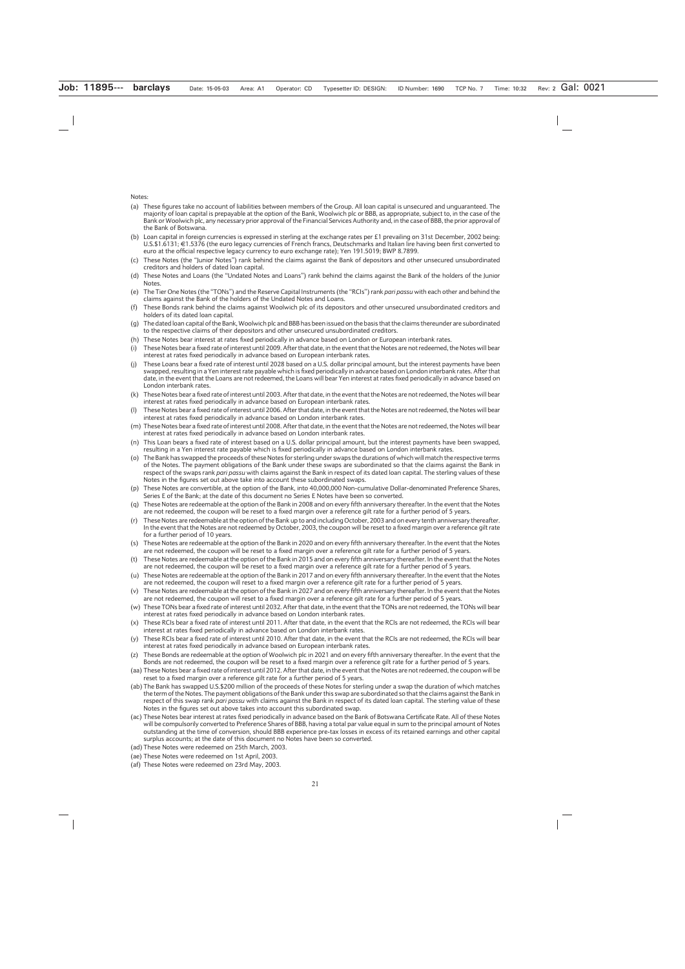Notes:

- (a) These figures take no account of liabilities between members of the Group. All loan capital is unsecured and unguaranteed. The majority of loan capital is prepayable at the option of the Bank, Woolwich plc or BBB, as appropriate, subject to, in the case of the Bank or Woolwich plc, any necessary prior approval of the Financial Services Authority and, in the case of BBB, the prior approval of the Bank of Botswana.
- (b) Loan capital in foreign currencies is expressed in sterling at the exchange rates per £1 prevailing on 31st December, 2002 being:  $U.S.S11.6131; \text{ } \in 1.5376$  (the euro legacy currencies of French francs, Deutschmarks and Italian lire having been first converted to euro at the official respective legacy currency to euro exchange rate); Yen 191.5019; BWP 8.7899.
- (c) These Notes (the "Junior Notes") rank behind the claims against the Bank of depositors and other unsecured unsubordinated creditors and holders of dated loan capital.
- (d) These Notes and Loans (the "Undated Notes and Loans") rank behind the claims against the Bank of the holders of the Junior Notes.
- (e) The Tier One Notes (the "TONs") and the Reserve Capital Instruments (the "RCIs") rank *pari passu* with each other and behind the claims against the Bank of the holders of the Undated Notes and Loans.
- (f) These Bonds rank behind the claims against Woolwich plc of its depositors and other unsecured unsubordinated creditors and holders of its dated loan capital.
- (g) The dated loan capital of the Bank, Woolwich plc and BBB has been issued on the basis that the claims thereunder are subordinated to the respective claims of their depositors and other unsecured unsubordinated creditors.
- (h) These Notes bear interest at rates fixed periodically in advance based on London or European interbank rates.
- (i) These Notes bear a fixed rate of interest until 2009. After that date, in the event that the Notes are not redeemed, the Notes will bear interest at rates fixed periodically in advance based on European interbank rates.
- (j) These Loans bear a fixed rate of interest until 2028 based on a U.S. dollar principal amount, but the interest payments have been swapped, resulting in a Yen interest rate payable which is fixed periodically in advance based on London interbank rates. After that date, in the event that the Loans are not redeemed, the Loans will bear Yen interest at rates fixed periodically in advance based on London interbank rates.
- (k) These Notes bear a fixed rate of interest until 2003. After that date, in the event that the Notes are not redeemed, the Notes will bear interest at rates fixed periodically in advance based on European interbank rates.
- (l) These Notes bear a fixed rate of interest until 2006. After that date, in the event that the Notes are not redeemed, the Notes will bear interest at rates fixed periodically in advance based on London interbank rates.
- (m) These Notes bear a fixed rate of interest until 2008. After that date, in the event that the Notes are not redeemed, the Notes will bear interest at rates fixed periodically in advance based on London interbank rates.
- (n) This Loan bears a fixed rate of interest based on a U.S. dollar principal amount, but the interest payments have been swapped, resulting in a Yen interest rate payable which is fixed periodically in advance based on London interbank rates.
- (o) The Bank has swapped the proceeds of these Notes for sterling under swaps the durations of which will match the respective terms of the Notes. The payment obligations of the Bank under these swaps are subordinated so that the claims against the Bank in respect of the swaps rank *pari passu* with claims against the Bank in respect of its dated loan capital. The sterling values of these Notes in the figures set out above take into account these subordinated swaps.
- (p) These Notes are convertible, at the option of the Bank, into 40,000,000 Non-cumulative Dollar-denominated Preference Shares, Series E of the Bank; at the date of this document no Series E Notes have been so converted.
- (q) These Notes are redeemable at the option of the Bank in 2008 and on every fifth anniversary thereafter. In the event that the Notes are not redeemed, the coupon will be reset to a fixed margin over a reference gilt rate for a further period of 5 years.
- (r) These Notes are redeemable at the option of the Bank up to and including October, 2003 and on every tenth anniversary thereafter. In the event that the Notes are not redeemed by October, 2003, the coupon will be reset to a fixed margin over a reference gilt rate for a further period of 10 years.
- (s) These Notes are redeemable at the option of the Bank in 2020 and on every fifth anniversary thereafter. In the event that the Notes are not redeemed, the coupon will be reset to a fixed margin over a reference gilt rate for a further period of 5 years.
- (t) These Notes are redeemable at the option of the Bank in 2015 and on every fifth anniversary thereafter. In the event that the Notes are not redeemed, the coupon will be reset to a fixed margin over a reference gilt rate for a further period of 5 years.
- (u) These Notes are redeemable at the option of the Bank in 2017 and on every fifth anniversary thereafter. In the event that the Notes are not redeemed, the coupon will reset to a fixed margin over a reference gilt rate for a further period of 5 years.
- (v) These Notes are redeemable at the option of the Bank in 2027 and on every fifth anniversary thereafter. In the event that the Notes are not redeemed, the coupon will reset to a fixed margin over a reference gilt rate for a further period of 5 years.
- (w) These TONs bear a fixed rate of interest until 2032. After that date, in the event that the TONs are not redeemed, the TONs will bear interest at rates fixed periodically in advance based on London interbank rates.
- (x) These RCIs bear a fixed rate of interest until 2011. After that date, in the event that the RCIs are not redeemed, the RCIs will bear interest at rates fixed periodically in advance based on London interbank rates.
- (y) These RCIs bear a fixed rate of interest until 2010. After that date, in the event that the RCIs are not redeemed, the RCIs will bear interest at rates fixed periodically in advance based on European interbank rates.
- (z) These Bonds are redeemable at the option of Woolwich plc in 2021 and on every fifth anniversary thereafter. In the event that the Bonds are not redeemed, the coupon will be reset to a fixed margin over a reference gilt rate for a further period of 5 years.
- (aa) These Notes bear a fixed rate of interest until 2012. After that date, in the event that the Notes are not redeemed, the coupon will be reset to a fixed margin over a reference gilt rate for a further period of 5 years.
- (ab) The Bank has swapped U.S.\$200 million of the proceeds of these Notes for sterling under a swap the duration of which matches the term of the Notes. The payment obligations of the Bank under this swap are subordinated so that the claims against the Bank in respect of this swap rank *pari passu* with claims against the Bank in respect of its dated loan capital. The sterling value of these Notes in the figures set out above takes into account this subordinated swap.
- (ac) These Notes bear interest at rates fixed periodically in advance based on the Bank of Botswana Certificate Rate. All of these Notes will be compulsorily converted to Preference Shares of BBB, having a total par value equal in sum to the principal amount of Notes outstanding at the time of conversion, should BBB experience pre-tax losses in excess of its retained earnings and other capital surplus accounts; at the date of this document no Notes have been so converted.
- (ad) These Notes were redeemed on 25th March, 2003.
- (ae) These Notes were redeemed on 1st April, 2003.
- (af) These Notes were redeemed on 23rd May, 2003.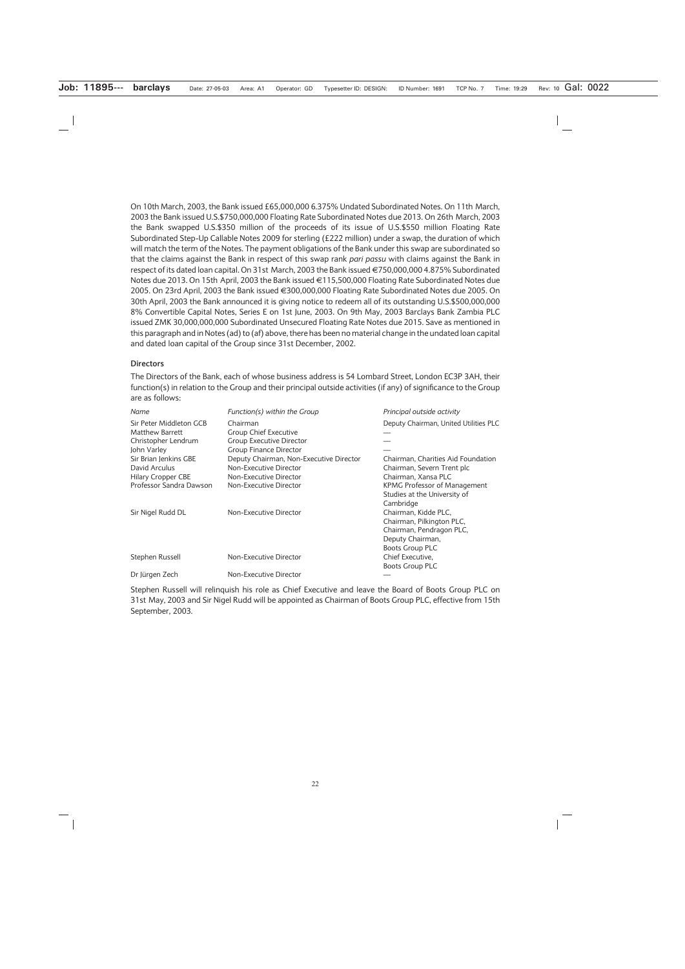On 10th March, 2003, the Bank issued £65,000,000 6.375% Undated Subordinated Notes. On 11th March, 2003 the Bank issued U.S.\$750,000,000 Floating Rate Subordinated Notes due 2013. On 26th March, 2003 the Bank swapped U.S.\$350 million of the proceeds of its issue of U.S.\$550 million Floating Rate Subordinated Step-Up Callable Notes 2009 for sterling (£222 million) under a swap, the duration of which will match the term of the Notes. The payment obligations of the Bank under this swap are subordinated so that the claims against the Bank in respect of this swap rank *pari passu* with claims against the Bank in respect of its dated loan capital. On 31st March, 2003 the Bank issued €750,000,000 4.875% Subordinated Notes due 2013. On 15th April, 2003 the Bank issued €115,500,000 Floating Rate Subordinated Notes due 2005. On 23rd April, 2003 the Bank issued €300,000,000 Floating Rate Subordinated Notes due 2005. On 30th April, 2003 the Bank announced it is giving notice to redeem all of its outstanding U.S.\$500,000,000 8% Convertible Capital Notes, Series E on 1st June, 2003. On 9th May, 2003 Barclays Bank Zambia PLC issued ZMK 30,000,000,000 Subordinated Unsecured Floating Rate Notes due 2015. Save as mentioned in this paragraph and in Notes (ad) to (af) above, there has been no material change in the undated loan capital and dated loan capital of the Group since 31st December, 2002.

#### **Directors**

The Directors of the Bank, each of whose business address is 54 Lombard Street, London EC3P 3AH, their function(s) in relation to the Group and their principal outside activities (if any) of significance to the Group are as follows:

| Name                    | Function(s) within the Group            | Principal outside activity            |
|-------------------------|-----------------------------------------|---------------------------------------|
| Sir Peter Middleton GCB | Chairman                                | Deputy Chairman, United Utilities PLC |
| <b>Matthew Barrett</b>  | Group Chief Executive                   |                                       |
| Christopher Lendrum     | <b>Group Executive Director</b>         |                                       |
| John Varley             | <b>Group Finance Director</b>           |                                       |
| Sir Brian Jenkins GBE   | Deputy Chairman, Non-Executive Director | Chairman, Charities Aid Foundation    |
| David Arculus           | Non-Executive Director                  | Chairman, Severn Trent plc            |
| Hilary Cropper CBE      | Non-Executive Director                  | Chairman, Xansa PLC                   |
| Professor Sandra Dawson | Non-Executive Director                  | KPMG Professor of Management          |
|                         |                                         | Studies at the University of          |
|                         |                                         | Cambridge                             |
| Sir Nigel Rudd DL       | Non-Executive Director                  | Chairman, Kidde PLC,                  |
|                         |                                         | Chairman, Pilkington PLC,             |
|                         |                                         | Chairman, Pendragon PLC,              |
|                         |                                         | Deputy Chairman,                      |
|                         |                                         | <b>Boots Group PLC</b>                |
| Stephen Russell         | Non-Executive Director                  | Chief Executive,                      |
|                         |                                         | <b>Boots Group PLC</b>                |
| Dr Jürgen Zech          | Non-Executive Director                  |                                       |

Stephen Russell will relinquish his role as Chief Executive and leave the Board of Boots Group PLC on 31st May, 2003 and Sir Nigel Rudd will be appointed as Chairman of Boots Group PLC, effective from 15th September, 2003.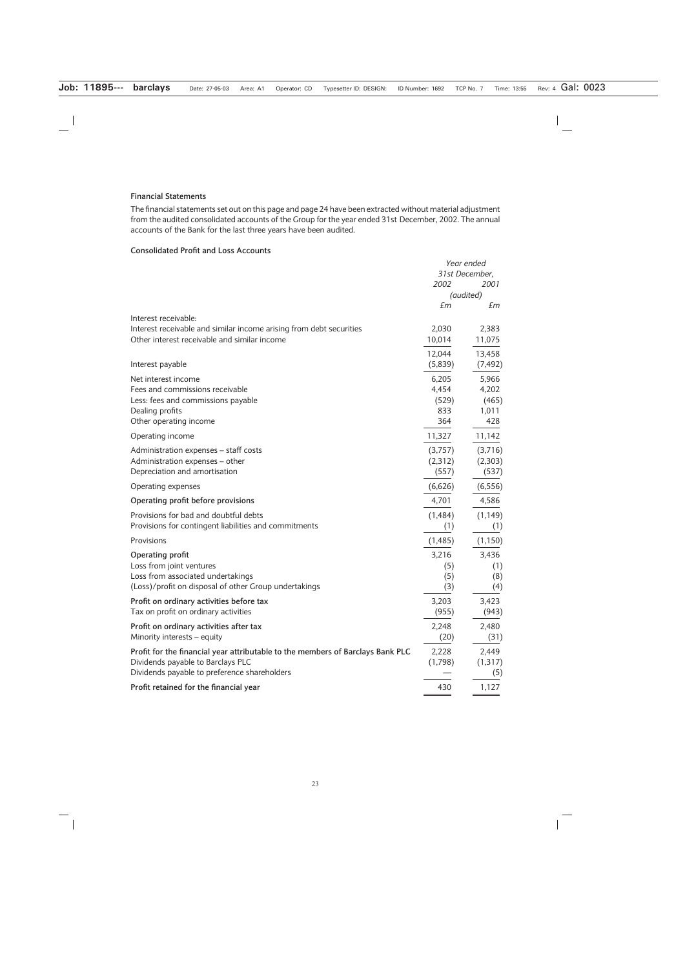#### **Financial Statements**

The financial statements set out on this page and page 24 have been extracted without material adjustment from the audited consolidated accounts of the Group for the year ended 31st December, 2002. The annual accounts of the Bank for the last three years have been audited.

# **Consolidated Profit and Loss Accounts**

|                                                                                | Year ended     |           |
|--------------------------------------------------------------------------------|----------------|-----------|
|                                                                                | 31st December, |           |
|                                                                                | 2002           | 2001      |
|                                                                                |                | (audited) |
|                                                                                | £m             | £m        |
| Interest receivable:                                                           |                |           |
| Interest receivable and similar income arising from debt securities            | 2,030          | 2,383     |
| Other interest receivable and similar income                                   | 10,014         | 11,075    |
|                                                                                | 12,044         | 13,458    |
| Interest payable                                                               | (5,839)        | (7, 492)  |
| Net interest income                                                            | 6,205          | 5,966     |
| Fees and commissions receivable                                                | 4,454          | 4,202     |
| Less: fees and commissions payable                                             | (529)          | (465)     |
| Dealing profits                                                                | 833            | 1,011     |
| Other operating income                                                         | 364            | 428       |
| Operating income                                                               | 11,327         | 11,142    |
| Administration expenses - staff costs                                          | (3,757)        | (3,716)   |
| Administration expenses - other                                                | (2,312)        | (2,303)   |
| Depreciation and amortisation                                                  | (557)          | (537)     |
| Operating expenses                                                             | (6,626)        | (6, 556)  |
| Operating profit before provisions                                             | 4,701          | 4,586     |
| Provisions for bad and doubtful debts                                          | (1,484)        | (1, 149)  |
| Provisions for contingent liabilities and commitments                          | (1)            | (1)       |
| Provisions                                                                     | (1,485)        | (1, 150)  |
| Operating profit                                                               | 3,216          | 3,436     |
| Loss from joint ventures                                                       | (5)            | (1)       |
| Loss from associated undertakings                                              | (5)            | (8)       |
| (Loss)/profit on disposal of other Group undertakings                          | (3)            | (4)       |
| Profit on ordinary activities before tax                                       | 3,203          | 3,423     |
| Tax on profit on ordinary activities                                           | (955)          | (943)     |
| Profit on ordinary activities after tax                                        | 2,248          | 2,480     |
| Minority interests - equity                                                    | (20)           | (31)      |
| Profit for the financial year attributable to the members of Barclays Bank PLC | 2,228          | 2,449     |
| Dividends payable to Barclays PLC                                              | (1,798)        | (1, 317)  |
| Dividends payable to preference shareholders                                   |                | (5)       |
| Profit retained for the financial year                                         | 430            | 1,127     |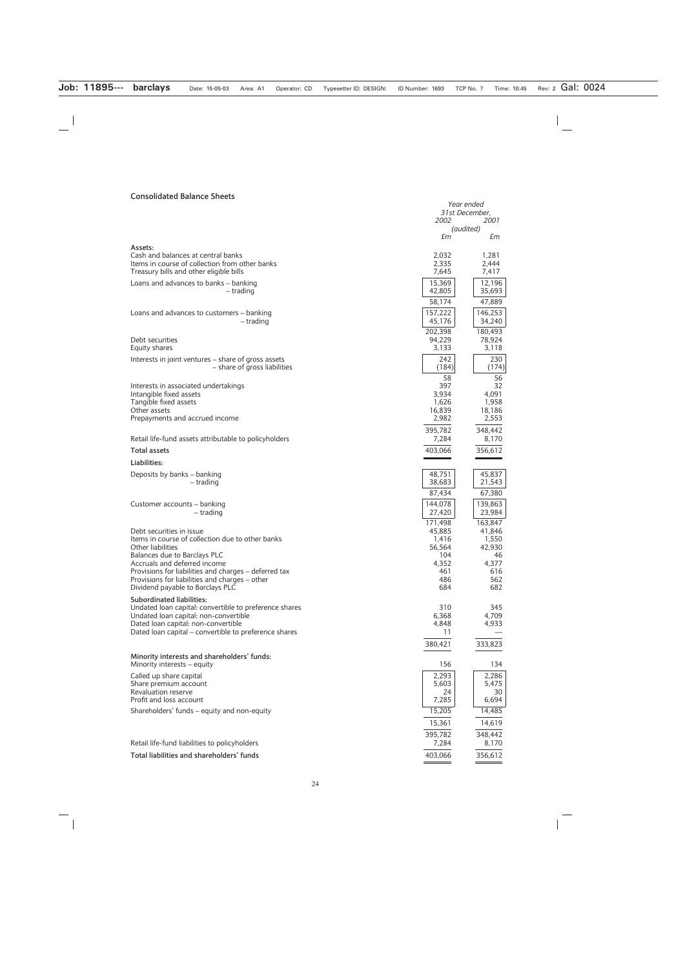#### **Consolidated Balance Sheets**

|                                                                                                                                                                                                                                                                                                                  | 2002                                                           | Year ended<br>31st December,<br>2001                          |  |
|------------------------------------------------------------------------------------------------------------------------------------------------------------------------------------------------------------------------------------------------------------------------------------------------------------------|----------------------------------------------------------------|---------------------------------------------------------------|--|
|                                                                                                                                                                                                                                                                                                                  | £m                                                             | (audited)<br>£m                                               |  |
| Assets:<br>Cash and balances at central banks<br>Items in course of collection from other banks<br>Treasury bills and other eligible bills<br>Loans and advances to banks - banking<br>- trading                                                                                                                 | 2,032<br>2,335<br>7,645<br>15,369<br>42,805<br>58,174          | 1,281<br>2,444<br>7,417<br>12,196<br>35,693<br>47,889         |  |
| Loans and advances to customers – banking<br>– trading                                                                                                                                                                                                                                                           | 157,222<br>45,176<br>202,398                                   | 146,253<br>34,240<br>180,493                                  |  |
| Debt securities<br>Equity shares                                                                                                                                                                                                                                                                                 | 94,229<br>3,133                                                | 78,924<br>3,118                                               |  |
| Interests in joint ventures – share of gross assets<br>- share of gross liabilities                                                                                                                                                                                                                              | 242<br>(184)                                                   | 230<br>(174)                                                  |  |
| Interests in associated undertakings<br>Intangible fixed assets<br>Tangible fixed assets<br>Other assets<br>Prepayments and accrued income                                                                                                                                                                       | 58<br>397<br>3,934<br>1,626<br>16,839<br>2,982<br>395,782      | 56<br>32<br>4,091<br>1,958<br>18,186<br>2,553<br>348,442      |  |
| Retail life-fund assets attributable to policyholders                                                                                                                                                                                                                                                            | 7,284                                                          | 8,170                                                         |  |
| <b>Total assets</b>                                                                                                                                                                                                                                                                                              | 403,066                                                        | 356,612                                                       |  |
| Liabilities:                                                                                                                                                                                                                                                                                                     |                                                                |                                                               |  |
| Deposits by banks – banking<br>– trading                                                                                                                                                                                                                                                                         | 48,751<br>38,683                                               | 45,837<br>21,543                                              |  |
| Customer accounts – banking<br>– trading                                                                                                                                                                                                                                                                         | 87,434<br>144,078<br>27,420<br>171,498                         | 67,380<br>139,863<br>23,984<br>163,847                        |  |
| Debt securities in issue<br>Items in course of collection due to other banks<br>Other liabilities<br>Balances due to Barclays PLC<br>Accruals and deferred income<br>Provisions for liabilities and charges – deferred tax<br>Provisions for liabilities and charges - other<br>Dividend payable to Barclays PLC | 45,885<br>1,416<br>56,564<br>104<br>4,352<br>461<br>486<br>684 | 41,846<br>1,550<br>42,930<br>46<br>4,377<br>616<br>562<br>682 |  |
| <b>Subordinated liabilities:</b><br>Undated loan capital: convertible to preference shares<br>Undated loan capital: non-convertible<br>Dated loan capital: non-convertible<br>Dated loan capital - convertible to preference shares                                                                              | 310<br>6,368<br>4,848<br>11<br>380,421                         | 345<br>4,709<br>4,933<br>333,823                              |  |
| Minority interests and shareholders' funds:<br>Minority interests – equity                                                                                                                                                                                                                                       | 156                                                            | 134                                                           |  |
| Called up share capital<br>Share premium account<br><b>Revaluation reserve</b><br>Profit and loss account<br>Shareholders' funds - equity and non-equity                                                                                                                                                         | 2,293<br>5,603<br>24<br>7,285<br>15,205                        | 2,286<br>5,475<br>30<br>6,694<br>14,485                       |  |
|                                                                                                                                                                                                                                                                                                                  | 15,361                                                         | 14,619                                                        |  |
| Retail life-fund liabilities to policyholders                                                                                                                                                                                                                                                                    | 395,782<br>7,284                                               | 348,442<br>8,170                                              |  |
| Total liabilities and shareholders' funds                                                                                                                                                                                                                                                                        | 403,066                                                        | 356,612                                                       |  |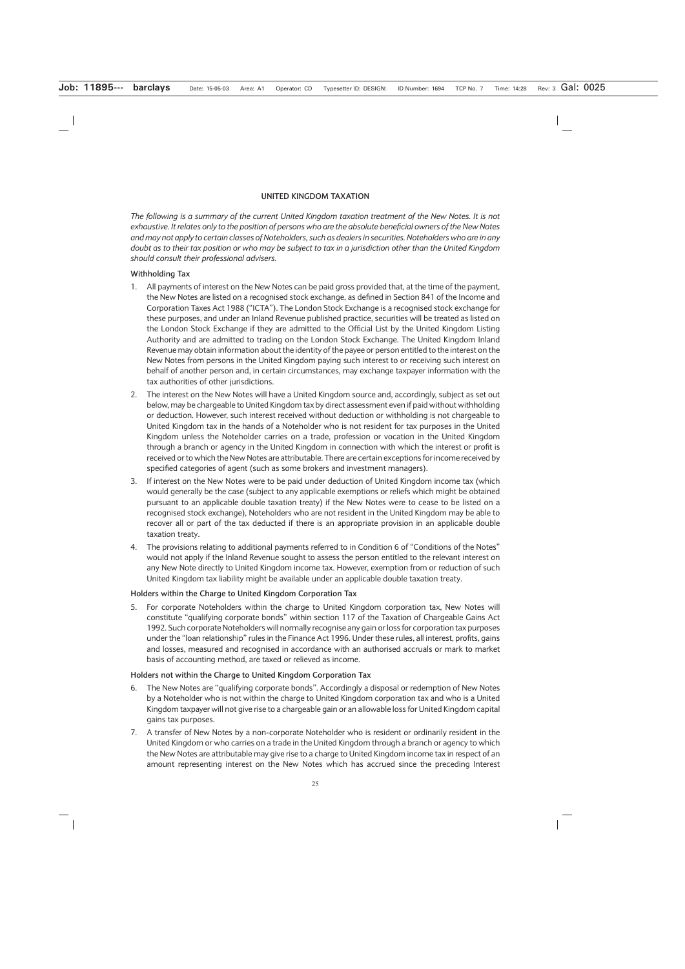#### **UNITED KINGDOM TAXATION**

*The following is a summary of the current United Kingdom taxation treatment of the New Notes. It is not exhaustive. It relates only to the position of persons who are the absolute beneficial owners of the New Notes and may not apply to certain classes of Noteholders, such as dealers in securities. Noteholders who are in any doubt as to their tax position or who may be subject to tax in a jurisdiction other than the United Kingdom should consult their professional advisers.*

#### **Withholding Tax**

- 1. All payments of interest on the New Notes can be paid gross provided that, at the time of the payment, the New Notes are listed on a recognised stock exchange, as defined in Section 841 of the Income and Corporation Taxes Act 1988 ("ICTA"). The London Stock Exchange is a recognised stock exchange for these purposes, and under an Inland Revenue published practice, securities will be treated as listed on the London Stock Exchange if they are admitted to the Official List by the United Kingdom Listing Authority and are admitted to trading on the London Stock Exchange. The United Kingdom Inland Revenue may obtain information about the identity of the payee or person entitled to the interest on the New Notes from persons in the United Kingdom paying such interest to or receiving such interest on behalf of another person and, in certain circumstances, may exchange taxpayer information with the tax authorities of other jurisdictions.
- 2. The interest on the New Notes will have a United Kingdom source and, accordingly, subject as set out below, may be chargeable to United Kingdom tax by direct assessment even if paid without withholding or deduction. However, such interest received without deduction or withholding is not chargeable to United Kingdom tax in the hands of a Noteholder who is not resident for tax purposes in the United Kingdom unless the Noteholder carries on a trade, profession or vocation in the United Kingdom through a branch or agency in the United Kingdom in connection with which the interest or profit is received or to which the New Notes are attributable. There are certain exceptions for income received by specified categories of agent (such as some brokers and investment managers).
- 3. If interest on the New Notes were to be paid under deduction of United Kingdom income tax (which would generally be the case (subject to any applicable exemptions or reliefs which might be obtained pursuant to an applicable double taxation treaty) if the New Notes were to cease to be listed on a recognised stock exchange), Noteholders who are not resident in the United Kingdom may be able to recover all or part of the tax deducted if there is an appropriate provision in an applicable double taxation treaty.
- 4. The provisions relating to additional payments referred to in Condition 6 of "Conditions of the Notes" would not apply if the Inland Revenue sought to assess the person entitled to the relevant interest on any New Note directly to United Kingdom income tax. However, exemption from or reduction of such United Kingdom tax liability might be available under an applicable double taxation treaty.

#### **Holders within the Charge to United Kingdom Corporation Tax**

5. For corporate Noteholders within the charge to United Kingdom corporation tax, New Notes will constitute "qualifying corporate bonds" within section 117 of the Taxation of Chargeable Gains Act 1992. Such corporate Noteholders will normally recognise any gain or loss for corporation tax purposes under the "loan relationship" rules in the Finance Act 1996. Under these rules, all interest, profits, gains and losses, measured and recognised in accordance with an authorised accruals or mark to market basis of accounting method, are taxed or relieved as income.

#### **Holders not within the Charge to United Kingdom Corporation Tax**

- 6. The New Notes are "qualifying corporate bonds". Accordingly a disposal or redemption of New Notes by a Noteholder who is not within the charge to United Kingdom corporation tax and who is a United Kingdom taxpayer will not give rise to a chargeable gain or an allowable loss for United Kingdom capital gains tax purposes.
- 7. A transfer of New Notes by a non-corporate Noteholder who is resident or ordinarily resident in the United Kingdom or who carries on a trade in the United Kingdom through a branch or agency to which the New Notes are attributable may give rise to a charge to United Kingdom income tax in respect of an amount representing interest on the New Notes which has accrued since the preceding Interest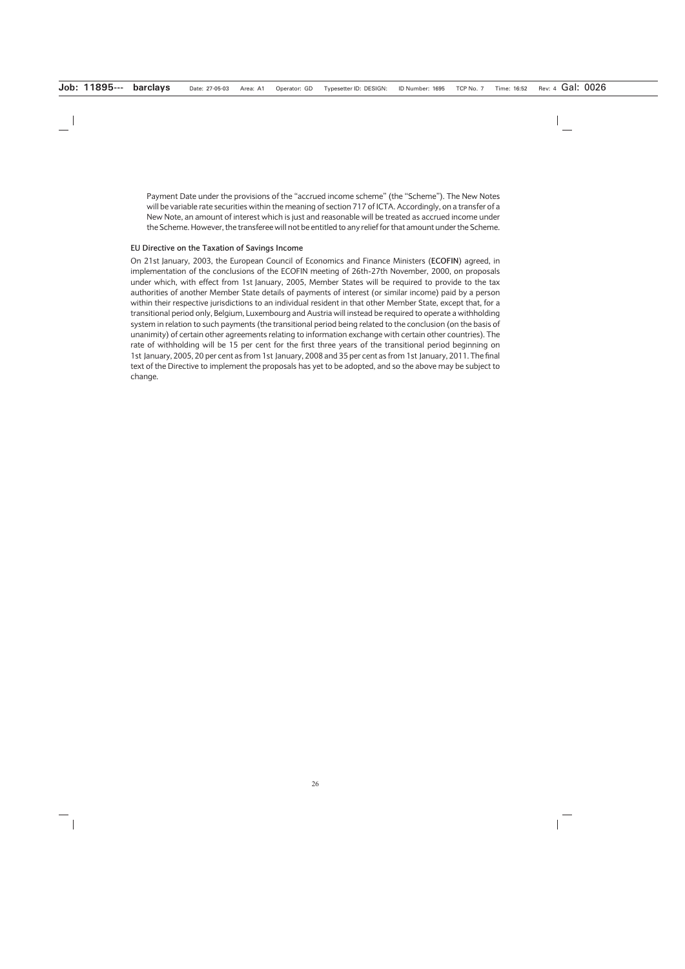Payment Date under the provisions of the "accrued income scheme" (the "Scheme"). The New Notes will be variable rate securities within the meaning of section 717 of ICTA. Accordingly, on a transfer of a New Note, an amount of interest which is just and reasonable will be treated as accrued income under the Scheme. However, the transferee will not be entitled to any relief for that amount under the Scheme.

#### **EU Directive on the Taxation of Savings Income**

On 21st January, 2003, the European Council of Economics and Finance Ministers (**ECOFIN**) agreed, in implementation of the conclusions of the ECOFIN meeting of 26th-27th November, 2000, on proposals under which, with effect from 1st January, 2005, Member States will be required to provide to the tax authorities of another Member State details of payments of interest (or similar income) paid by a person within their respective jurisdictions to an individual resident in that other Member State, except that, for a transitional period only, Belgium, Luxembourg and Austria will instead be required to operate a withholding system in relation to such payments (the transitional period being related to the conclusion (on the basis of unanimity) of certain other agreements relating to information exchange with certain other countries). The rate of withholding will be 15 per cent for the first three years of the transitional period beginning on 1st January, 2005, 20 per cent as from 1st January, 2008 and 35 per cent as from 1st January, 2011. The final text of the Directive to implement the proposals has yet to be adopted, and so the above may be subject to change.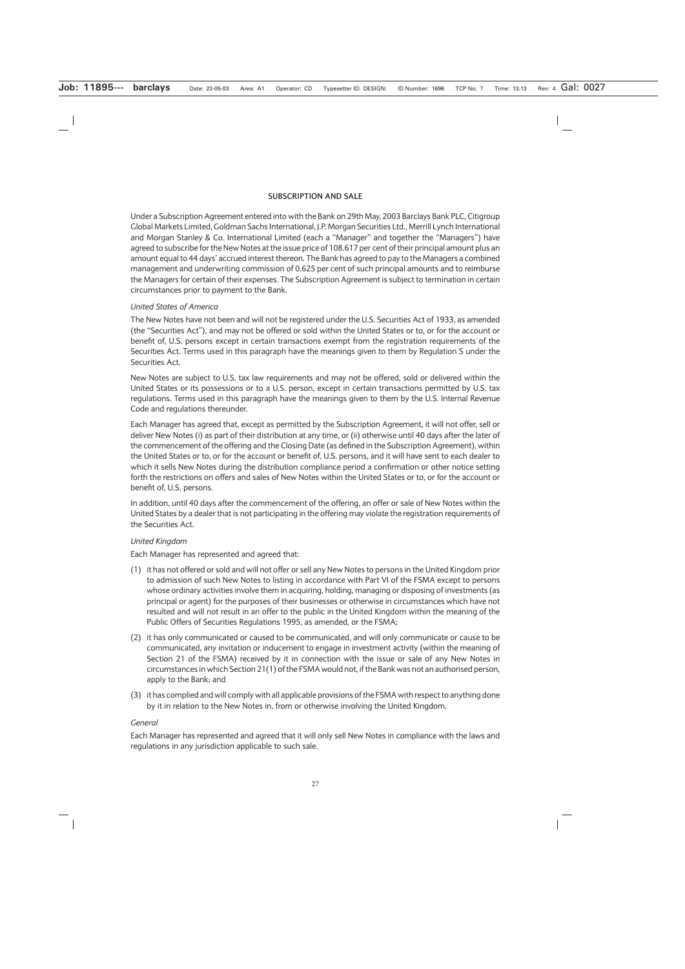#### **SUBSCRIPTION AND SALE**

Under a Subscription Agreement entered into with the Bank on 29th May, 2003 Barclays Bank PLC, Citigroup Global Markets Limited, Goldman Sachs International, J.P. Morgan Securities Ltd., Merrill Lynch International and Morgan Stanley & Co. International Limited (each a "Manager" and together the "Managers") have agreed to subscribe for the New Notes at the issue price of 108.617 per cent of their principal amount plus an amount equal to 44 days' accrued interest thereon. The Bank has agreed to pay to the Managers a combined management and underwriting commission of 0.625 per cent of such principal amounts and to reimburse the Managers for certain of their expenses. The Subscription Agreement is subject to termination in certain circumstances prior to payment to the Bank.

### *United States of America*

The New Notes have not been and will not be registered under the U.S. Securities Act of 1933, as amended (the "Securities Act"), and may not be offered or sold within the United States or to, or for the account or benefit of, U.S. persons except in certain transactions exempt from the registration requirements of the Securities Act. Terms used in this paragraph have the meanings given to them by Regulation S under the Securities Act.

New Notes are subject to U.S. tax law requirements and may not be offered, sold or delivered within the United States or its possessions or to a U.S. person, except in certain transactions permitted by U.S. tax regulations. Terms used in this paragraph have the meanings given to them by the U.S. Internal Revenue Code and regulations thereunder.

Each Manager has agreed that, except as permitted by the Subscription Agreement, it will not offer, sell or deliver New Notes (i) as part of their distribution at any time, or (ii) otherwise until 40 days after the later of the commencement of the offering and the Closing Date (as defined in the Subscription Agreement), within the United States or to, or for the account or benefit of, U.S. persons, and it will have sent to each dealer to which it sells New Notes during the distribution compliance period a confirmation or other notice setting forth the restrictions on offers and sales of New Notes within the United States or to, or for the account or benefit of, U.S. persons.

In addition, until 40 days after the commencement of the offering, an offer or sale of New Notes within the United States by a dealer that is not participating in the offering may violate the registration requirements of the Securities Act.

# *United Kingdom*

Each Manager has represented and agreed that:

- (1) it has not offered or sold and will not offer or sell any New Notes to persons in the United Kingdom prior to admission of such New Notes to listing in accordance with Part VI of the FSMA except to persons whose ordinary activities involve them in acquiring, holding, managing or disposing of investments (as principal or agent) for the purposes of their businesses or otherwise in circumstances which have not resulted and will not result in an offer to the public in the United Kingdom within the meaning of the Public Offers of Securities Regulations 1995, as amended, or the FSMA;
- (2) it has only communicated or caused to be communicated, and will only communicate or cause to be communicated, any invitation or inducement to engage in investment activity (within the meaning of Section 21 of the FSMA) received by it in connection with the issue or sale of any New Notes in circumstances in which Section 21(1) of the FSMA would not, if the Bank was not an authorised person, apply to the Bank; and
- (3) it has complied and will comply with all applicable provisions of the FSMA with respect to anything done by it in relation to the New Notes in, from or otherwise involving the United Kingdom.

#### *General*

Each Manager has represented and agreed that it will only sell New Notes in compliance with the laws and regulations in any jurisdiction applicable to such sale.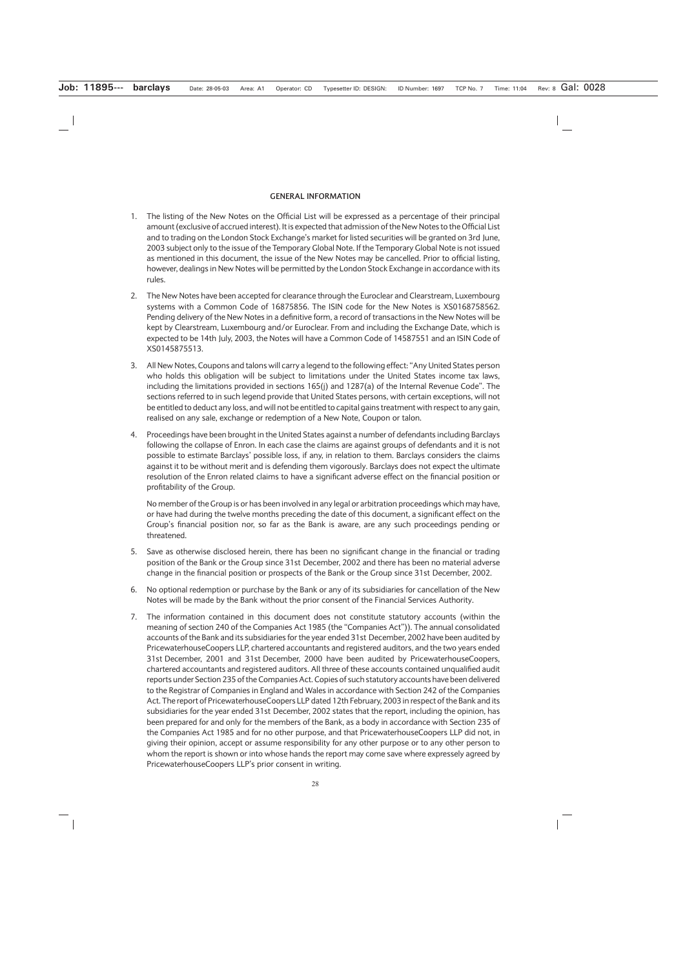#### **GENERAL INFORMATION**

- 1. The listing of the New Notes on the Official List will be expressed as a percentage of their principal amount (exclusive of accrued interest). It is expected that admission of the New Notes to the Official List and to trading on the London Stock Exchange's market for listed securities will be granted on 3rd June, 2003 subject only to the issue of the Temporary Global Note. If the Temporary Global Note is not issued as mentioned in this document, the issue of the New Notes may be cancelled. Prior to official listing, however, dealings in New Notes will be permitted by the London Stock Exchange in accordance with its rules.
- 2. The New Notes have been accepted for clearance through the Euroclear and Clearstream, Luxembourg systems with a Common Code of 16875856. The ISIN code for the New Notes is XS0168758562. Pending delivery of the New Notes in a definitive form, a record of transactions in the New Notes will be kept by Clearstream, Luxembourg and/or Euroclear. From and including the Exchange Date, which is expected to be 14th July, 2003, the Notes will have a Common Code of 14587551 and an ISIN Code of XS0145875513.
- 3. All New Notes, Coupons and talons will carry a legend to the following effect: "Any United States person who holds this obligation will be subject to limitations under the United States income tax laws, including the limitations provided in sections 165(j) and 1287(a) of the Internal Revenue Code". The sections referred to in such legend provide that United States persons, with certain exceptions, will not be entitled to deduct any loss, and will not be entitled to capital gains treatment with respect to any gain, realised on any sale, exchange or redemption of a New Note, Coupon or talon.
- 4. Proceedings have been brought in the United States against a number of defendants including Barclays following the collapse of Enron. In each case the claims are against groups of defendants and it is not possible to estimate Barclays' possible loss, if any, in relation to them. Barclays considers the claims against it to be without merit and is defending them vigorously. Barclays does not expect the ultimate resolution of the Enron related claims to have a significant adverse effect on the financial position or profitability of the Group.

No member of the Group is or has been involved in any legal or arbitration proceedings which may have, or have had during the twelve months preceding the date of this document, a significant effect on the Group's financial position nor, so far as the Bank is aware, are any such proceedings pending or threatened.

- 5. Save as otherwise disclosed herein, there has been no significant change in the financial or trading position of the Bank or the Group since 31st December, 2002 and there has been no material adverse change in the financial position or prospects of the Bank or the Group since 31st December, 2002.
- 6. No optional redemption or purchase by the Bank or any of its subsidiaries for cancellation of the New Notes will be made by the Bank without the prior consent of the Financial Services Authority.
- 7. The information contained in this document does not constitute statutory accounts (within the meaning of section 240 of the Companies Act 1985 (the "Companies Act")). The annual consolidated accounts of the Bank and its subsidiaries for the year ended 31st December, 2002 have been audited by PricewaterhouseCoopers LLP, chartered accountants and registered auditors, and the two years ended 31st December, 2001 and 31st December, 2000 have been audited by PricewaterhouseCoopers, chartered accountants and registered auditors. All three of these accounts contained unqualified audit reports under Section 235 of the Companies Act. Copies of such statutory accounts have been delivered to the Registrar of Companies in England and Wales in accordance with Section 242 of the Companies Act. The report of PricewaterhouseCoopers LLP dated 12th February, 2003 in respect of the Bank and its subsidiaries for the year ended 31st December, 2002 states that the report, including the opinion, has been prepared for and only for the members of the Bank, as a body in accordance with Section 235 of the Companies Act 1985 and for no other purpose, and that PricewaterhouseCoopers LLP did not, in giving their opinion, accept or assume responsibility for any other purpose or to any other person to whom the report is shown or into whose hands the report may come save where expressely agreed by PricewaterhouseCoopers LLP's prior consent in writing.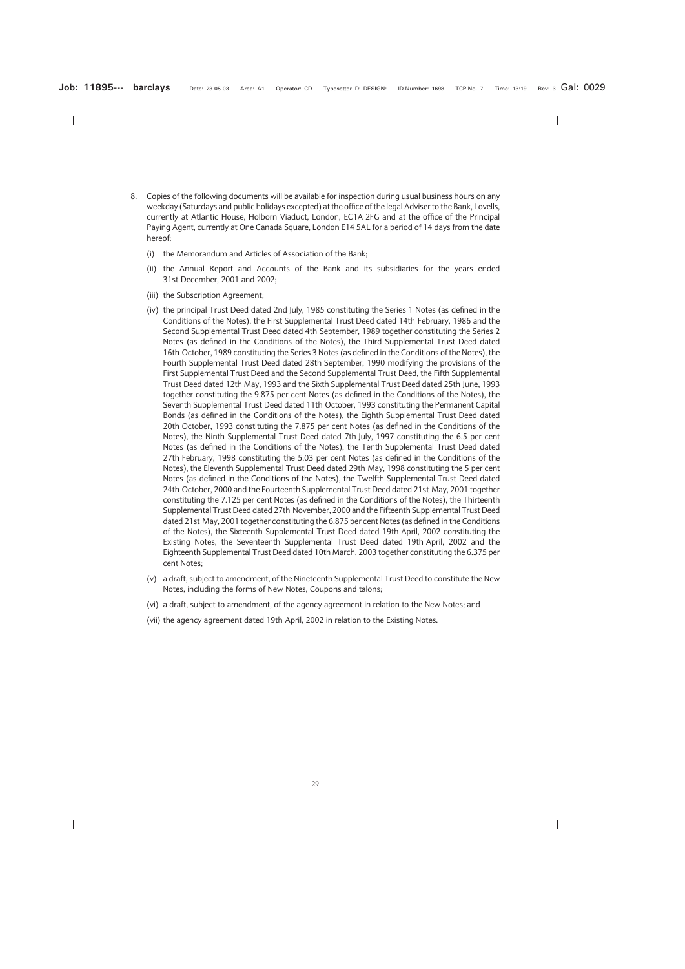- 8. Copies of the following documents will be available for inspection during usual business hours on any weekday (Saturdays and public holidays excepted) at the office of the legal Adviser to the Bank, Lovells, currently at Atlantic House, Holborn Viaduct, London, EC1A 2FG and at the office of the Principal Paying Agent, currently at One Canada Square, London E14 5AL for a period of 14 days from the date hereof:
	- (i) the Memorandum and Articles of Association of the Bank;
	- (ii) the Annual Report and Accounts of the Bank and its subsidiaries for the years ended 31st December, 2001 and 2002;
	- (iii) the Subscription Agreement;
	- (iv) the principal Trust Deed dated 2nd July, 1985 constituting the Series 1 Notes (as defined in the Conditions of the Notes), the First Supplemental Trust Deed dated 14th February, 1986 and the Second Supplemental Trust Deed dated 4th September, 1989 together constituting the Series 2 Notes (as defined in the Conditions of the Notes), the Third Supplemental Trust Deed dated 16th October, 1989 constituting the Series 3 Notes (as defined in the Conditions of the Notes), the Fourth Supplemental Trust Deed dated 28th September, 1990 modifying the provisions of the First Supplemental Trust Deed and the Second Supplemental Trust Deed, the Fifth Supplemental Trust Deed dated 12th May, 1993 and the Sixth Supplemental Trust Deed dated 25th June, 1993 together constituting the 9.875 per cent Notes (as defined in the Conditions of the Notes), the Seventh Supplemental Trust Deed dated 11th October, 1993 constituting the Permanent Capital Bonds (as defined in the Conditions of the Notes), the Eighth Supplemental Trust Deed dated 20th October, 1993 constituting the 7.875 per cent Notes (as defined in the Conditions of the Notes), the Ninth Supplemental Trust Deed dated 7th July, 1997 constituting the 6.5 per cent Notes (as defined in the Conditions of the Notes), the Tenth Supplemental Trust Deed dated 27th February, 1998 constituting the 5.03 per cent Notes (as defined in the Conditions of the Notes), the Eleventh Supplemental Trust Deed dated 29th May, 1998 constituting the 5 per cent Notes (as defined in the Conditions of the Notes), the Twelfth Supplemental Trust Deed dated 24th October, 2000 and the Fourteenth Supplemental Trust Deed dated 21st May, 2001 together constituting the 7.125 per cent Notes (as defined in the Conditions of the Notes), the Thirteenth Supplemental Trust Deed dated 27th November, 2000 and the Fifteenth Supplemental Trust Deed dated 21st May, 2001 together constituting the 6.875 per cent Notes (as defined in the Conditions of the Notes), the Sixteenth Supplemental Trust Deed dated 19th April, 2002 constituting the Existing Notes, the Seventeenth Supplemental Trust Deed dated 19th April, 2002 and the Eighteenth Supplemental Trust Deed dated 10th March, 2003 together constituting the 6.375 per cent Notes;
	- (v) a draft, subject to amendment, of the Nineteenth Supplemental Trust Deed to constitute the New Notes, including the forms of New Notes, Coupons and talons;
	- (vi) a draft, subject to amendment, of the agency agreement in relation to the New Notes; and
	- (vii) the agency agreement dated 19th April, 2002 in relation to the Existing Notes.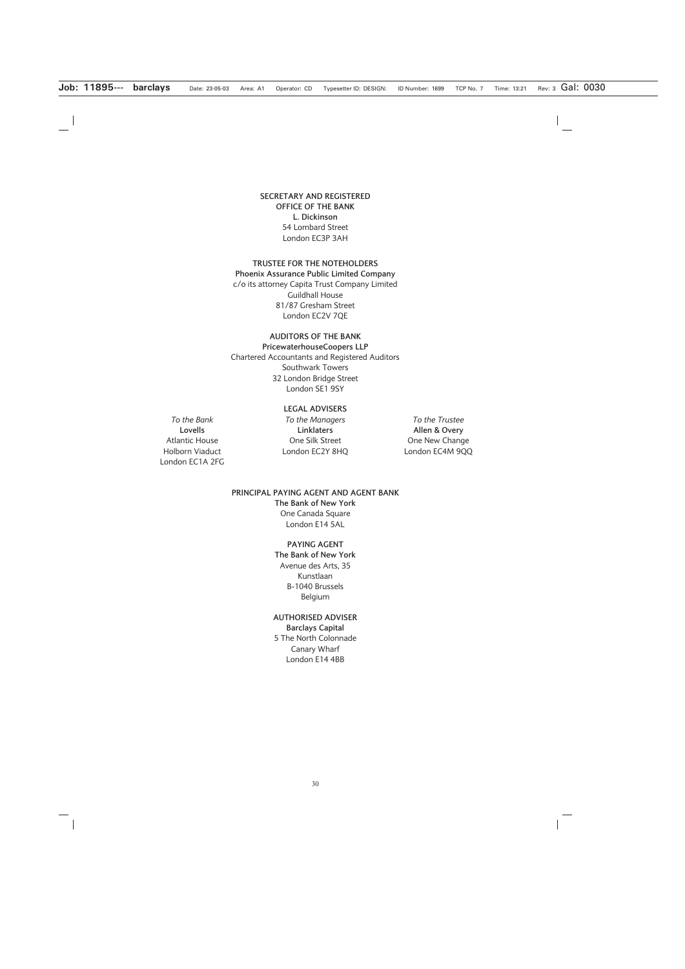#### **SECRETARY AND REGISTERED OFFICE OF THE BANK L. Dickinson** 54 Lombard Street London EC3P 3AH

# **TRUSTEE FOR THE NOTEHOLDERS Phoenix Assurance Public Limited Company**

c/o its attorney Capita Trust Company Limited Guildhall House 81/87 Gresham Street London EC2V 7QE

### **AUDITORS OF THE BANK**

**PricewaterhouseCoopers LLP** Chartered Accountants and Registered Auditors Southwark Towers 32 London Bridge Street London SE1 9SY

#### **LEGAL ADVISERS**

**Lovells** Atlantic House Holborn Viaduct London EC1A 2FG

*To the Bank To the Managers To the Trustee* **Linklaters** One Silk Street London EC2Y 8HQ

**Allen & Overy** One New Change London EC4M 9QQ

### **PRINCIPAL PAYING AGENT AND AGENT BANK The Bank of New York** One Canada Square London E14 5AL

**PAYING AGENT The Bank of New York** Avenue des Arts, 35 Kunstlaan B-1040 Brussels Belgium

#### **AUTHORISED ADVISER Barclays Capital** 5 The North Colonnade Canary Wharf London E14 4BB